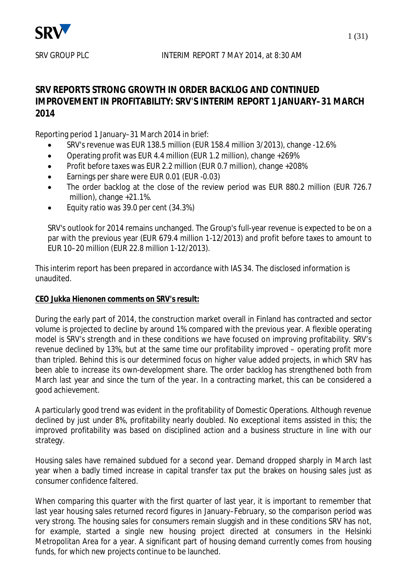

## **SRV REPORTS STRONG GROWTH IN ORDER BACKLOG AND CONTINUED IMPROVEMENT IN PROFITABILITY: SRV'S INTERIM REPORT 1 JANUARY–31 MARCH 2014**

Reporting period 1 January–31 March 2014 in brief:

- x SRV's revenue was EUR 138.5 million (EUR 158.4 million 3/2013), change -12.6%
- Operating profit was EUR 4.4 million (EUR 1.2 million), change  $+269\%$
- Profit before taxes was EUR 2.2 million (EUR 0.7 million), change +208%
- Earnings per share were EUR 0.01 (EUR -0.03)
- The order backlog at the close of the review period was EUR 880.2 million (EUR 726.7 million), change +21.1%.
- Equity ratio was 39.0 per cent (34.3%)

SRV's outlook for 2014 remains unchanged. The Group's full-year revenue is expected to be on a par with the previous year (EUR 679.4 million 1-12/2013) and profit before taxes to amount to EUR 10–20 million (EUR 22.8 million 1-12/2013).

This interim report has been prepared in accordance with IAS 34. The disclosed information is unaudited.

## **CEO Jukka Hienonen comments on SRV's result:**

During the early part of 2014, the construction market overall in Finland has contracted and sector volume is projected to decline by around 1% compared with the previous year. A flexible operating model is SRV's strength and in these conditions we have focused on improving profitability. SRV's revenue declined by 13%, but at the same time our profitability improved – operating profit more than tripled. Behind this is our determined focus on higher value added projects, in which SRV has been able to increase its own-development share. The order backlog has strengthened both from March last year and since the turn of the year. In a contracting market, this can be considered a good achievement.

A particularly good trend was evident in the profitability of Domestic Operations. Although revenue declined by just under 8%, profitability nearly doubled. No exceptional items assisted in this; the improved profitability was based on disciplined action and a business structure in line with our strategy.

Housing sales have remained subdued for a second year. Demand dropped sharply in March last year when a badly timed increase in capital transfer tax put the brakes on housing sales just as consumer confidence faltered.

When comparing this quarter with the first quarter of last year, it is important to remember that last year housing sales returned record figures in January–February, so the comparison period was very strong. The housing sales for consumers remain sluggish and in these conditions SRV has not, for example, started a single new housing project directed at consumers in the Helsinki Metropolitan Area for a year. A significant part of housing demand currently comes from housing funds, for which new projects continue to be launched.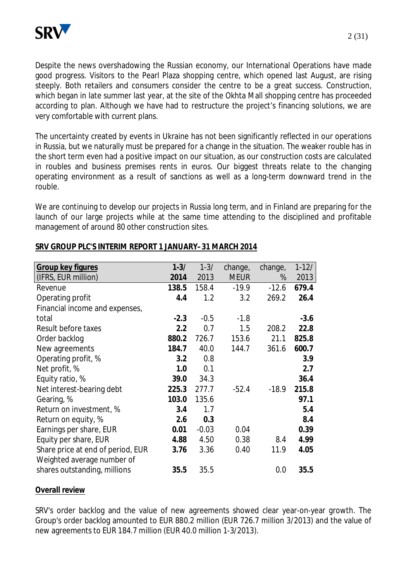

Despite the news overshadowing the Russian economy, our International Operations have made good progress. Visitors to the Pearl Plaza shopping centre, which opened last August, are rising steeply. Both retailers and consumers consider the centre to be a great success. Construction, which began in late summer last year, at the site of the Okhta Mall shopping centre has proceeded according to plan. Although we have had to restructure the project's financing solutions, we are very comfortable with current plans.

The uncertainty created by events in Ukraine has not been significantly reflected in our operations in Russia, but we naturally must be prepared for a change in the situation. The weaker rouble has in the short term even had a positive impact on our situation, as our construction costs are calculated in roubles and business premises rents in euros. Our biggest threats relate to the changing operating environment as a result of sanctions as well as a long-term downward trend in the rouble.

We are continuing to develop our projects in Russia long term, and in Finland are preparing for the launch of our large projects while at the same time attending to the disciplined and profitable management of around 80 other construction sites.

| Group key figures                 | $1 - 3/$ | $1 - 3/$ | change,     | change, | $1-12/$ |
|-----------------------------------|----------|----------|-------------|---------|---------|
| (IFRS, EUR million)               | 2014     | 2013     | <b>MEUR</b> | %       | 2013    |
| Revenue                           | 138.5    | 158.4    | $-19.9$     | $-12.6$ | 679.4   |
| Operating profit                  | 4.4      | 1.2      | 3.2         | 269.2   | 26.4    |
| Financial income and expenses,    |          |          |             |         |         |
| total                             | $-2.3$   | $-0.5$   | $-1.8$      |         | $-3.6$  |
| Result before taxes               | 2.2      | 0.7      | 1.5         | 208.2   | 22.8    |
| Order backlog                     | 880.2    | 726.7    | 153.6       | 21.1    | 825.8   |
| New agreements                    | 184.7    | 40.0     | 144.7       | 361.6   | 600.7   |
| Operating profit, %               | 3.2      | 0.8      |             |         | 3.9     |
| Net profit, %                     | 1.0      | 0.1      |             |         | 2.7     |
| Equity ratio, %                   | 39.0     | 34.3     |             |         | 36.4    |
| Net interest-bearing debt         | 225.3    | 277.7    | $-52.4$     | $-18.9$ | 215.8   |
| Gearing, %                        | 103.0    | 135.6    |             |         | 97.1    |
| Return on investment, %           | 3.4      | 1.7      |             |         | 5.4     |
| Return on equity, %               | 2.6      | 0.3      |             |         | 8.4     |
| Earnings per share, EUR           | 0.01     | $-0.03$  | 0.04        |         | 0.39    |
| Equity per share, EUR             | 4.88     | 4.50     | 0.38        | 8.4     | 4.99    |
| Share price at end of period, EUR | 3.76     | 3.36     | 0.40        | 11.9    | 4.05    |
| Weighted average number of        |          |          |             |         |         |
| shares outstanding, millions      | 35.5     | 35.5     |             | 0.0     | 35.5    |

## **SRV GROUP PLC'S INTERIM REPORT 1 JANUARY–31 MARCH 2014**

#### **Overall review**

SRV's order backlog and the value of new agreements showed clear year-on-year growth. The Group's order backlog amounted to EUR 880.2 million (EUR 726.7 million 3/2013) and the value of new agreements to EUR 184.7 million (EUR 40.0 million 1-3/2013).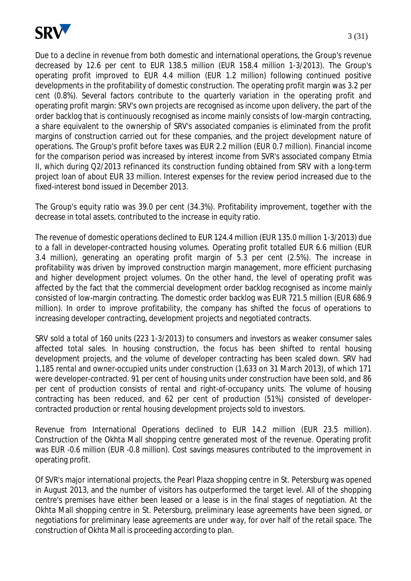

Due to a decline in revenue from both domestic and international operations, the Group's revenue decreased by 12.6 per cent to EUR 138.5 million (EUR 158.4 million 1-3/2013). The Group's operating profit improved to EUR 4.4 million (EUR 1.2 million) following continued positive developments in the profitability of domestic construction. The operating profit margin was 3.2 per cent (0.8%). Several factors contribute to the quarterly variation in the operating profit and operating profit margin: SRV's own projects are recognised as income upon delivery, the part of the order backlog that is continuously recognised as income mainly consists of low-margin contracting, a share equivalent to the ownership of SRV's associated companies is eliminated from the profit margins of construction carried out for these companies, and the project development nature of operations. The Group's profit before taxes was EUR 2.2 million (EUR 0.7 million). Financial income for the comparison period was increased by interest income from SVR's associated company Etmia II, which during Q2/2013 refinanced its construction funding obtained from SRV with a long-term project loan of about EUR 33 million. Interest expenses for the review period increased due to the fixed-interest bond issued in December 2013.

The Group's equity ratio was 39.0 per cent (34.3%). Profitability improvement, together with the decrease in total assets, contributed to the increase in equity ratio.

The revenue of domestic operations declined to EUR 124.4 million (EUR 135.0 million 1-3/2013) due to a fall in developer-contracted housing volumes. Operating profit totalled EUR 6.6 million (EUR 3.4 million), generating an operating profit margin of 5.3 per cent (2.5%). The increase in profitability was driven by improved construction margin management, more efficient purchasing and higher development project volumes. On the other hand, the level of operating profit was affected by the fact that the commercial development order backlog recognised as income mainly consisted of low-margin contracting. The domestic order backlog was EUR 721.5 million (EUR 686.9 million). In order to improve profitability, the company has shifted the focus of operations to increasing developer contracting, development projects and negotiated contracts.

SRV sold a total of 160 units (223 1-3/2013) to consumers and investors as weaker consumer sales affected total sales. In housing construction, the focus has been shifted to rental housing development projects, and the volume of developer contracting has been scaled down. SRV had 1,185 rental and owner-occupied units under construction (1,633 on 31 March 2013), of which 171 were developer-contracted. 91 per cent of housing units under construction have been sold, and 86 per cent of production consists of rental and right-of-occupancy units. The volume of housing contracting has been reduced, and 62 per cent of production (51%) consisted of developercontracted production or rental housing development projects sold to investors.

Revenue from International Operations declined to EUR 14.2 million (EUR 23.5 million). Construction of the Okhta Mall shopping centre generated most of the revenue. Operating profit was EUR -0.6 million (EUR -0.8 million). Cost savings measures contributed to the improvement in operating profit.

Of SVR's major international projects, the Pearl Plaza shopping centre in St. Petersburg was opened in August 2013, and the number of visitors has outperformed the target level. All of the shopping centre's premises have either been leased or a lease is in the final stages of negotiation. At the Okhta Mall shopping centre in St. Petersburg, preliminary lease agreements have been signed, or negotiations for preliminary lease agreements are under way, for over half of the retail space. The construction of Okhta Mall is proceeding according to plan.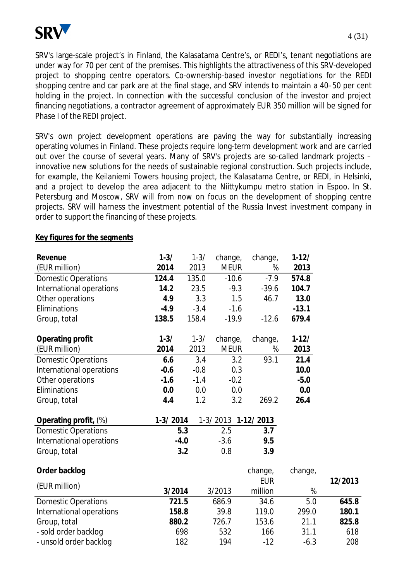

SRV's large-scale project's in Finland, the Kalasatama Centre's, or REDI's, tenant negotiations are under way for 70 per cent of the premises. This highlights the attractiveness of this SRV-developed project to shopping centre operators. Co-ownership-based investor negotiations for the REDI shopping centre and car park are at the final stage, and SRV intends to maintain a 40–50 per cent holding in the project. In connection with the successful conclusion of the investor and project financing negotiations, a contractor agreement of approximately EUR 350 million will be signed for Phase I of the REDI project.

SRV's own project development operations are paving the way for substantially increasing operating volumes in Finland. These projects require long-term development work and are carried out over the course of several years. Many of SRV's projects are so-called landmark projects – innovative new solutions for the needs of sustainable regional construction. Such projects include, for example, the Keilaniemi Towers housing project, the Kalasatama Centre, or REDI, in Helsinki, and a project to develop the area adjacent to the Niittykumpu metro station in Espoo. In St. Petersburg and Moscow, SRV will from now on focus on the development of shopping centre projects. SRV will harness the investment potential of the Russia Invest investment company in order to support the financing of these projects.

| Revenue                    | $1 - 3/$   | $1 - 3/$ | change,            | change,    | $1-12/$   |         |
|----------------------------|------------|----------|--------------------|------------|-----------|---------|
| (EUR million)              | 2014       | 2013     | <b>MEUR</b>        | %          | 2013      |         |
| <b>Domestic Operations</b> | 124.4      | 135.0    | $-10.6$            | $-7.9$     | 574.8     |         |
| International operations   | 14.2       | 23.5     | $-9.3$             | $-39.6$    | 104.7     |         |
| Other operations           | 4.9        | 3.3      | 1.5                | 46.7       | 13.0      |         |
| Eliminations               | $-4.9$     | $-3.4$   | $-1.6$             |            | $-13.1$   |         |
| Group, total               | 138.5      | 158.4    | $-19.9$            | $-12.6$    | 679.4     |         |
| Operating profit           | $1 - 3/$   | $1 - 3/$ | change,            | change,    | $1 - 12/$ |         |
| (EUR million)              | 2014       | 2013     | <b>MEUR</b>        | %          | 2013      |         |
| <b>Domestic Operations</b> | 6.6        | 3.4      | 3.2                | 93.1       | 21.4      |         |
| International operations   | $-0.6$     | $-0.8$   | 0.3                |            | 10.0      |         |
| Other operations           | $-1.6$     | $-1.4$   | $-0.2$             |            | $-5.0$    |         |
| Eliminations               | 0.0        | 0.0      | 0.0                |            | 0.0       |         |
| Group, total               | 4.4        | 1.2      | 3.2                | 269.2      | 26.4      |         |
| Operating profit, (%)      | $1-3/2014$ |          | 1-3/2013 1-12/2013 |            |           |         |
| <b>Domestic Operations</b> |            | 5.3      | 2.5                | 3.7        |           |         |
| International operations   |            | $-4.0$   | $-3.6$             | 9.5        |           |         |
| Group, total               |            | 3.2      | 0.8                | 3.9        |           |         |
| Order backlog              |            |          |                    | change,    | change,   |         |
| (EUR million)              |            |          |                    | <b>EUR</b> |           | 12/2013 |
|                            | 3/2014     |          | 3/2013             | million    | $\%$      |         |
| <b>Domestic Operations</b> | 721.5      |          | 686.9              | 34.6       | 5.0       | 645.8   |
| International operations   | 158.8      |          | 39.8               | 119.0      | 299.0     | 180.1   |
| Group, total               | 880.2      |          | 726.7              | 153.6      | 21.1      | 825.8   |
| - sold order backlog       |            | 698      | 532                | 166        | 31.1      | 618     |
| - unsold order backlog     |            | 182      | 194                | $-12$      | $-6.3$    | 208     |

## **Key figures for the segments**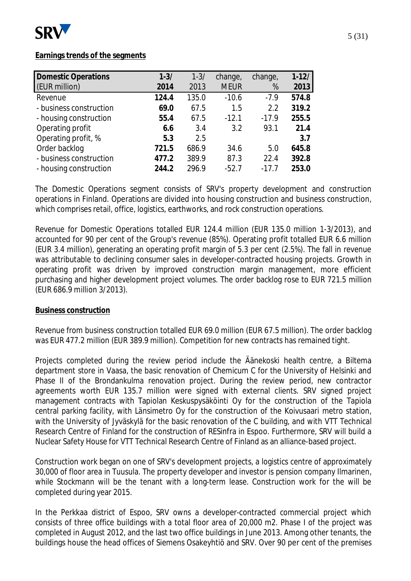

## **Earnings trends of the segments**

| $1 - 3/$ | $1 - 3/$ | change,     | change, | $1 - 12/$ |
|----------|----------|-------------|---------|-----------|
| 2014     | 2013     | <b>MEUR</b> | %       | 2013      |
| 124.4    | 135.0    | $-10.6$     | $-7.9$  | 574.8     |
| 69.0     | 67.5     | 1.5         | 2.2     | 319.2     |
| 55.4     | 67.5     | $-12.1$     | $-17.9$ | 255.5     |
| 6.6      | 3.4      | 3.2         | 93.1    | 21.4      |
| 5.3      | 2.5      |             |         | 3.7       |
| 721.5    | 686.9    | 34.6        | 5.0     | 645.8     |
| 477.2    | 389.9    | 87.3        | 22.4    | 392.8     |
| 244.2    | 296.9    | $-52.7$     | $-17.7$ | 253.0     |
|          |          |             |         |           |

The Domestic Operations segment consists of SRV's property development and construction operations in Finland. Operations are divided into housing construction and business construction, which comprises retail, office, logistics, earthworks, and rock construction operations.

Revenue for Domestic Operations totalled EUR 124.4 million (EUR 135.0 million 1-3/2013), and accounted for 90 per cent of the Group's revenue (85%). Operating profit totalled EUR 6.6 million (EUR 3.4 million), generating an operating profit margin of 5.3 per cent (2.5%). The fall in revenue was attributable to declining consumer sales in developer-contracted housing projects. Growth in operating profit was driven by improved construction margin management, more efficient purchasing and higher development project volumes. The order backlog rose to EUR 721.5 million (EUR 686.9 million 3/2013).

#### **Business construction**

Revenue from business construction totalled EUR 69.0 million (EUR 67.5 million). The order backlog was EUR 477.2 million (EUR 389.9 million). Competition for new contracts has remained tight.

Projects completed during the review period include the Äänekoski health centre, a Biltema department store in Vaasa, the basic renovation of Chemicum C for the University of Helsinki and Phase II of the Brondankulma renovation project. During the review period, new contractor agreements worth EUR 135.7 million were signed with external clients. SRV signed project management contracts with Tapiolan Keskuspysäköinti Oy for the construction of the Tapiola central parking facility, with Länsimetro Oy for the construction of the Koivusaari metro station, with the University of Jyväskylä for the basic renovation of the C building, and with VTT Technical Research Centre of Finland for the construction of RESinfra in Espoo. Furthermore, SRV will build a Nuclear Safety House for VTT Technical Research Centre of Finland as an alliance-based project.

Construction work began on one of SRV's development projects, a logistics centre of approximately 30,000 of floor area in Tuusula. The property developer and investor is pension company Ilmarinen, while Stockmann will be the tenant with a long-term lease. Construction work for the will be completed during year 2015.

In the Perkkaa district of Espoo, SRV owns a developer-contracted commercial project which consists of three office buildings with a total floor area of 20,000 m2. Phase I of the project was completed in August 2012, and the last two office buildings in June 2013. Among other tenants, the buildings house the head offices of Siemens Osakeyhtiö and SRV. Over 90 per cent of the premises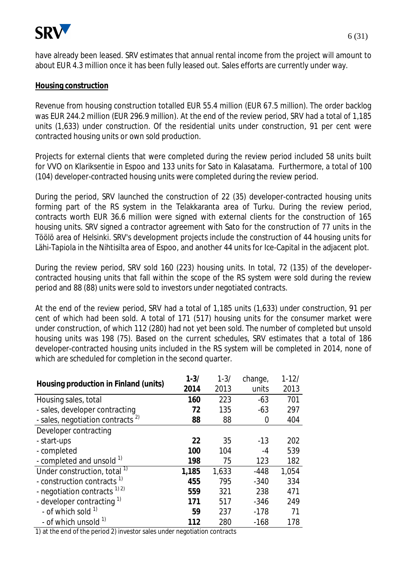

have already been leased. SRV estimates that annual rental income from the project will amount to about EUR 4.3 million once it has been fully leased out. Sales efforts are currently under way.

#### **Housing construction**

Revenue from housing construction totalled EUR 55.4 million (EUR 67.5 million). The order backlog was EUR 244.2 million (EUR 296.9 million). At the end of the review period, SRV had a total of 1,185 units (1,633) under construction. Of the residential units under construction, 91 per cent were contracted housing units or own sold production.

Projects for external clients that were completed during the review period included 58 units built for VVO on Klariksentie in Espoo and 133 units for Sato in Kalasatama. Furthermore, a total of 100 (104) developer-contracted housing units were completed during the review period.

During the period, SRV launched the construction of 22 (35) developer-contracted housing units forming part of the RS system in the Telakkaranta area of Turku. During the review period, contracts worth EUR 36.6 million were signed with external clients for the construction of 165 housing units. SRV signed a contractor agreement with Sato for the construction of 77 units in the Töölö area of Helsinki. SRV's development projects include the construction of 44 housing units for Lähi-Tapiola in the Nihtisilta area of Espoo, and another 44 units for Ice-Capital in the adjacent plot.

During the review period, SRV sold 160 (223) housing units. In total, 72 (135) of the developercontracted housing units that fall within the scope of the RS system were sold during the review period and 88 (88) units were sold to investors under negotiated contracts.

At the end of the review period, SRV had a total of 1,185 units (1,633) under construction, 91 per cent of which had been sold. A total of 171 (517) housing units for the consumer market were under construction, of which 112 (280) had not yet been sold. The number of completed but unsold housing units was 198 (75). Based on the current schedules, SRV estimates that a total of 186 developer-contracted housing units included in the RS system will be completed in 2014, none of which are scheduled for completion in the second quarter.

| Housing production in Finland (units)        | $1 - 3/$ | $1 - 3/$ | change, | $1 - 12/$ |
|----------------------------------------------|----------|----------|---------|-----------|
|                                              | 2014     | 2013     | units   | 2013      |
| Housing sales, total                         | 160      | 223      | $-63$   | 701       |
| - sales, developer contracting               | 72       | 135      | $-63$   | 297       |
| - sales, negotiation contracts <sup>2)</sup> | 88       | 88       | 0       | 404       |
| Developer contracting                        |          |          |         |           |
| - start-ups                                  | 22       | 35       | $-13$   | 202       |
| - completed                                  | 100      | 104      | -4      | 539       |
| - completed and unsold 1)                    | 198      | 75       | 123     | 182       |
| Under construction, total <sup>1)</sup>      | 1,185    | 1,633    | $-448$  | 1,054     |
| - construction contracts <sup>1)</sup>       | 455      | 795      | $-340$  | 334       |
| - negotiation contracts $^{1/2}$             | 559      | 321      | 238     | 471       |
| - developer contracting 1)                   | 171      | 517      | $-346$  | 249       |
| - of which sold $1$                          | 59       | 237      | $-178$  | 71        |
| - of which unsold <sup>1)</sup>              | 112      | 280      | $-168$  | 178       |

1) at the end of the period 2) investor sales under negotiation contracts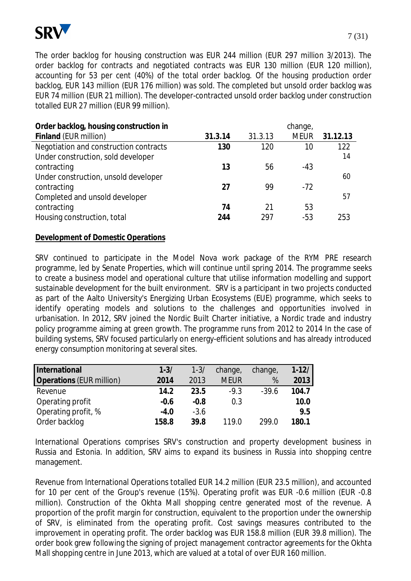

The order backlog for housing construction was EUR 244 million (EUR 297 million 3/2013). The order backlog for contracts and negotiated contracts was EUR 130 million (EUR 120 million), accounting for 53 per cent (40%) of the total order backlog. Of the housing production order backlog, EUR 143 million (EUR 176 million) was sold. The completed but unsold order backlog was EUR 74 million (EUR 21 million). The developer-contracted unsold order backlog under construction totalled EUR 27 million (EUR 99 million).

| Order backlog, housing construction in |         |         | change,     |          |
|----------------------------------------|---------|---------|-------------|----------|
| Finland (EUR million)                  | 31.3.14 | 31.3.13 | <b>MEUR</b> | 31.12.13 |
| Negotiation and construction contracts | 130     | 120     | 10          | 122      |
| Under construction, sold developer     |         |         |             | 14       |
| contracting                            | 13      | 56      | -43         |          |
| Under construction, unsold developer   |         |         |             | 60       |
| contracting                            | 27      | 99      | $-72$       |          |
| Completed and unsold developer         |         |         |             | 57       |
| contracting                            | 74      | 21      | 53          |          |
| Housing construction, total            | 244     | 297     | $-53$       | 253      |

#### **Development of Domestic Operations**

SRV continued to participate in the Model Nova work package of the RYM PRE research programme, led by Senate Properties, which will continue until spring 2014. The programme seeks to create a business model and operational culture that utilise information modelling and support sustainable development for the built environment. SRV is a participant in two projects conducted as part of the Aalto University's Energizing Urban Ecosystems (EUE) programme, which seeks to identify operating models and solutions to the challenges and opportunities involved in urbanisation. In 2012, SRV joined the Nordic Built Charter initiative, a Nordic trade and industry policy programme aiming at green growth. The programme runs from 2012 to 2014 In the case of building systems, SRV focused particularly on energy-efficient solutions and has already introduced energy consumption monitoring at several sites.

| International                   | $1 - 3/$ | $1 - 3/$ | change,     | change, | $1 - 12/$ |
|---------------------------------|----------|----------|-------------|---------|-----------|
| <b>Operations (EUR million)</b> | 2014     | 2013     | <b>MEUR</b> | %       | 2013      |
| Revenue                         | 14.2     | 23.5     | $-9.3$      | $-39.6$ | 104.7     |
| Operating profit                | $-0.6$   | $-0.8$   | 0.3         |         | 10.0      |
| Operating profit, %             | $-4.0$   | $-3.6$   |             |         | 9.5       |
| Order backlog                   | 158.8    | 39.8     | 119 በ       | 299.0   | 180.1     |

International Operations comprises SRV's construction and property development business in Russia and Estonia. In addition, SRV aims to expand its business in Russia into shopping centre management.

Revenue from International Operations totalled EUR 14.2 million (EUR 23.5 million), and accounted for 10 per cent of the Group's revenue (15%). Operating profit was EUR -0.6 million (EUR -0.8 million). Construction of the Okhta Mall shopping centre generated most of the revenue. A proportion of the profit margin for construction, equivalent to the proportion under the ownership of SRV, is eliminated from the operating profit. Cost savings measures contributed to the improvement in operating profit. The order backlog was EUR 158.8 million (EUR 39.8 million). The order book grew following the signing of project management contractor agreements for the Okhta Mall shopping centre in June 2013, which are valued at a total of over EUR 160 million.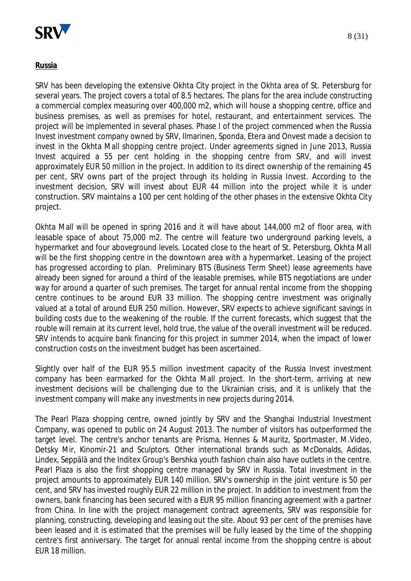

#### **Russia**

SRV has been developing the extensive Okhta City project in the Okhta area of St. Petersburg for several years. The project covers a total of 8.5 hectares. The plans for the area include constructing a commercial complex measuring over 400,000 m2, which will house a shopping centre, office and business premises, as well as premises for hotel, restaurant, and entertainment services. The project will be implemented in several phases. Phase I of the project commenced when the Russia Invest investment company owned by SRV, Ilmarinen, Sponda, Etera and Onvest made a decision to invest in the Okhta Mall shopping centre project. Under agreements signed in June 2013, Russia Invest acquired a 55 per cent holding in the shopping centre from SRV, and will invest approximately EUR 50 million in the project. In addition to its direct ownership of the remaining 45 per cent, SRV owns part of the project through its holding in Russia Invest. According to the investment decision, SRV will invest about EUR 44 million into the project while it is under construction. SRV maintains a 100 per cent holding of the other phases in the extensive Okhta City project.

Okhta Mall will be opened in spring 2016 and it will have about 144,000 m2 of floor area, with leasable space of about 75,000 m2. The centre will feature two underground parking levels, a hypermarket and four aboveground levels. Located close to the heart of St. Petersburg, Okhta Mall will be the first shopping centre in the downtown area with a hypermarket. Leasing of the project has progressed according to plan. Preliminary BTS (Business Term Sheet) lease agreements have already been signed for around a third of the leasable premises, while BTS negotiations are under way for around a quarter of such premises. The target for annual rental income from the shopping centre continues to be around EUR 33 million. The shopping centre investment was originally valued at a total of around EUR 250 million. However, SRV expects to achieve significant savings in building costs due to the weakening of the rouble. If the current forecasts, which suggest that the rouble will remain at its current level, hold true, the value of the overall investment will be reduced. SRV intends to acquire bank financing for this project in summer 2014, when the impact of lower construction costs on the investment budget has been ascertained.

Slightly over half of the EUR 95.5 million investment capacity of the Russia Invest investment company has been earmarked for the Okhta Mall project. In the short-term, arriving at new investment decisions will be challenging due to the Ukrainian crisis, and it is unlikely that the investment company will make any investments in new projects during 2014.

The Pearl Plaza shopping centre, owned jointly by SRV and the Shanghai Industrial Investment Company, was opened to public on 24 August 2013. The number of visitors has outperformed the target level. The centre's anchor tenants are Prisma, Hennes & Mauritz, Sportmaster, M.Video, Detsky Mir, Kinomir-21 and Sculptors. Other international brands such as McDonalds, Adidas, Lindex, Seppälä and the Inditex Group's Bershka youth fashion chain also have outlets in the centre. Pearl Plaza is also the first shopping centre managed by SRV in Russia. Total investment in the project amounts to approximately EUR 140 million. SRV's ownership in the joint venture is 50 per cent, and SRV has invested roughly EUR 22 million in the project. In addition to investment from the owners, bank financing has been secured with a EUR 95 million financing agreement with a partner from China. In line with the project management contract agreements, SRV was responsible for planning, constructing, developing and leasing out the site. About 93 per cent of the premises have been leased and it is estimated that the premises will be fully leased by the time of the shopping centre's first anniversary. The target for annual rental income from the shopping centre is about EUR 18 million.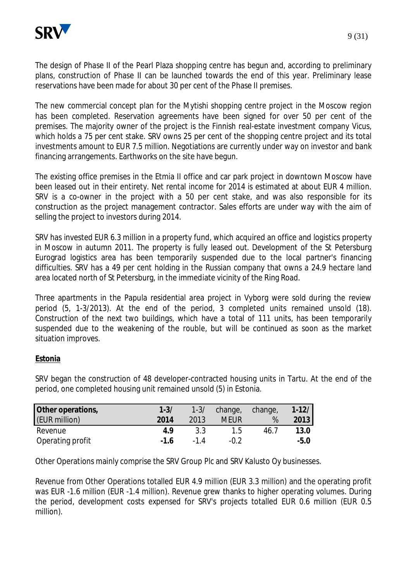

The design of Phase II of the Pearl Plaza shopping centre has begun and, according to preliminary plans, construction of Phase II can be launched towards the end of this year. Preliminary lease reservations have been made for about 30 per cent of the Phase II premises.

The new commercial concept plan for the Mytishi shopping centre project in the Moscow region has been completed. Reservation agreements have been signed for over 50 per cent of the premises. The majority owner of the project is the Finnish real-estate investment company Vicus, which holds a 75 per cent stake. SRV owns 25 per cent of the shopping centre project and its total investments amount to EUR 7.5 million. Negotiations are currently under way on investor and bank financing arrangements. Earthworks on the site have begun.

The existing office premises in the Etmia II office and car park project in downtown Moscow have been leased out in their entirety. Net rental income for 2014 is estimated at about EUR 4 million. SRV is a co-owner in the project with a 50 per cent stake, and was also responsible for its construction as the project management contractor. Sales efforts are under way with the aim of selling the project to investors during 2014.

SRV has invested EUR 6.3 million in a property fund, which acquired an office and logistics property in Moscow in autumn 2011. The property is fully leased out. Development of the St Petersburg Eurograd logistics area has been temporarily suspended due to the local partner's financing difficulties. SRV has a 49 per cent holding in the Russian company that owns a 24.9 hectare land area located north of St Petersburg, in the immediate vicinity of the Ring Road.

Three apartments in the Papula residential area project in Vyborg were sold during the review period (5, 1-3/2013). At the end of the period, 3 completed units remained unsold (18). Construction of the next two buildings, which have a total of 111 units, has been temporarily suspended due to the weakening of the rouble, but will be continued as soon as the market situation improves.

## **Estonia**

SRV began the construction of 48 developer-contracted housing units in Tartu. At the end of the period, one completed housing unit remained unsold (5) in Estonia.

| Other operations, | $1 - 3/$ | $1 - 3/$ | change, change, |      | $1 - 12/$ |
|-------------------|----------|----------|-----------------|------|-----------|
| (EUR million)     | 2014     | 2013     | <b>MEUR</b>     | %    | 2013      |
| Revenue           | 4 Q      | 3.3      | 1.5             | 46.7 | 13.0      |
| Operating profit  | $-16$    | $-14$    | -0.2            |      | $-5.0$    |

Other Operations mainly comprise the SRV Group Plc and SRV Kalusto Oy businesses.

Revenue from Other Operations totalled EUR 4.9 million (EUR 3.3 million) and the operating profit was EUR -1.6 million (EUR -1.4 million). Revenue grew thanks to higher operating volumes. During the period, development costs expensed for SRV's projects totalled EUR 0.6 million (EUR 0.5 million).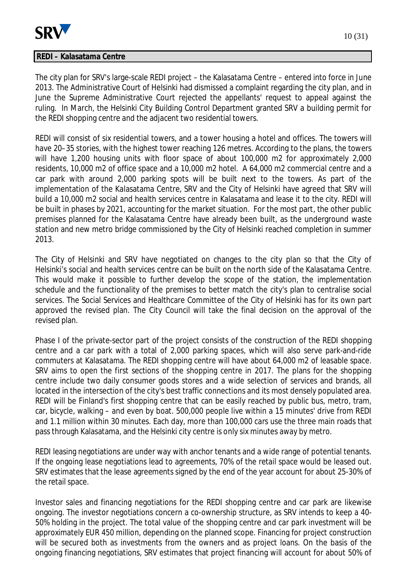

#### **REDI – Kalasatama Centre**

The city plan for SRV's large-scale REDI project – the Kalasatama Centre – entered into force in June 2013. The Administrative Court of Helsinki had dismissed a complaint regarding the city plan, and in June the Supreme Administrative Court rejected the appellants' request to appeal against the

REDI will consist of six residential towers, and a tower housing a hotel and offices. The towers will have 20–35 stories, with the highest tower reaching 126 metres. According to the plans, the towers will have 1,200 housing units with floor space of about 100,000 m2 for approximately 2,000 residents, 10,000 m2 of office space and a 10,000 m2 hotel. A 64,000 m2 commercial centre and a car park with around 2,000 parking spots will be built next to the towers. As part of the implementation of the Kalasatama Centre, SRV and the City of Helsinki have agreed that SRV will build a 10,000 m2 social and health services centre in Kalasatama and lease it to the city. REDI will be built in phases by 2021, accounting for the market situation. For the most part, the other public premises planned for the Kalasatama Centre have already been built, as the underground waste station and new metro bridge commissioned by the City of Helsinki reached completion in summer 2013.

ruling. In March, the Helsinki City Building Control Department granted SRV a building permit for

the REDI shopping centre and the adjacent two residential towers.

The City of Helsinki and SRV have negotiated on changes to the city plan so that the City of Helsinki's social and health services centre can be built on the north side of the Kalasatama Centre. This would make it possible to further develop the scope of the station, the implementation schedule and the functionality of the premises to better match the city's plan to centralise social services. The Social Services and Healthcare Committee of the City of Helsinki has for its own part approved the revised plan. The City Council will take the final decision on the approval of the revised plan.

Phase I of the private-sector part of the project consists of the construction of the REDI shopping centre and a car park with a total of 2,000 parking spaces, which will also serve park-and-ride commuters at Kalasatama. The REDI shopping centre will have about 64,000 m2 of leasable space. SRV aims to open the first sections of the shopping centre in 2017. The plans for the shopping centre include two daily consumer goods stores and a wide selection of services and brands, all located in the intersection of the city's best traffic connections and its most densely populated area. REDI will be Finland's first shopping centre that can be easily reached by public bus, metro, tram, car, bicycle, walking – and even by boat. 500,000 people live within a 15 minutes' drive from REDI and 1.1 million within 30 minutes. Each day, more than 100,000 cars use the three main roads that pass through Kalasatama, and the Helsinki city centre is only six minutes away by metro.

REDI leasing negotiations are under way with anchor tenants and a wide range of potential tenants. If the ongoing lease negotiations lead to agreements, 70% of the retail space would be leased out. SRV estimates that the lease agreements signed by the end of the year account for about 25-30% of the retail space.

Investor sales and financing negotiations for the REDI shopping centre and car park are likewise ongoing. The investor negotiations concern a co-ownership structure, as SRV intends to keep a 40- 50% holding in the project. The total value of the shopping centre and car park investment will be approximately EUR 450 million, depending on the planned scope. Financing for project construction will be secured both as investments from the owners and as project loans. On the basis of the ongoing financing negotiations, SRV estimates that project financing will account for about 50% of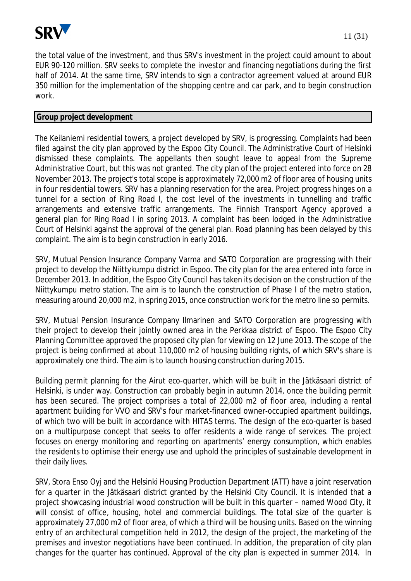

the total value of the investment, and thus SRV's investment in the project could amount to about EUR 90-120 million. SRV seeks to complete the investor and financing negotiations during the first half of 2014. At the same time, SRV intends to sign a contractor agreement valued at around EUR 350 million for the implementation of the shopping centre and car park, and to begin construction work.

## **Group project development**

The Keilaniemi residential towers, a project developed by SRV, is progressing. Complaints had been filed against the city plan approved by the Espoo City Council. The Administrative Court of Helsinki dismissed these complaints. The appellants then sought leave to appeal from the Supreme Administrative Court, but this was not granted. The city plan of the project entered into force on 28 November 2013. The project's total scope is approximately 72,000 m2 of floor area of housing units in four residential towers. SRV has a planning reservation for the area. Project progress hinges on a tunnel for a section of Ring Road I, the cost level of the investments in tunnelling and traffic arrangements and extensive traffic arrangements. The Finnish Transport Agency approved a general plan for Ring Road I in spring 2013. A complaint has been lodged in the Administrative Court of Helsinki against the approval of the general plan. Road planning has been delayed by this complaint. The aim is to begin construction in early 2016.

SRV, Mutual Pension Insurance Company Varma and SATO Corporation are progressing with their project to develop the Niittykumpu district in Espoo. The city plan for the area entered into force in December 2013. In addition, the Espoo City Council has taken its decision on the construction of the Niittykumpu metro station. The aim is to launch the construction of Phase I of the metro station, measuring around 20,000 m2, in spring 2015, once construction work for the metro line so permits.

SRV, Mutual Pension Insurance Company Ilmarinen and SATO Corporation are progressing with their project to develop their jointly owned area in the Perkkaa district of Espoo. The Espoo City Planning Committee approved the proposed city plan for viewing on 12 June 2013. The scope of the project is being confirmed at about 110,000 m2 of housing building rights, of which SRV's share is approximately one third. The aim is to launch housing construction during 2015.

Building permit planning for the Airut eco-quarter, which will be built in the Jätkäsaari district of Helsinki, is under way. Construction can probably begin in autumn 2014, once the building permit has been secured. The project comprises a total of 22,000 m2 of floor area, including a rental apartment building for VVO and SRV's four market-financed owner-occupied apartment buildings, of which two will be built in accordance with HITAS terms. The design of the eco-quarter is based on a multipurpose concept that seeks to offer residents a wide range of services. The project focuses on energy monitoring and reporting on apartments' energy consumption, which enables the residents to optimise their energy use and uphold the principles of sustainable development in their daily lives.

SRV, Stora Enso Oyj and the Helsinki Housing Production Department (ATT) have a joint reservation for a quarter in the Jätkäsaari district granted by the Helsinki City Council. It is intended that a project showcasing industrial wood construction will be built in this quarter – named Wood City, it will consist of office, housing, hotel and commercial buildings. The total size of the quarter is approximately 27,000 m2 of floor area, of which a third will be housing units. Based on the winning entry of an architectural competition held in 2012, the design of the project, the marketing of the premises and investor negotiations have been continued. In addition, the preparation of city plan changes for the quarter has continued. Approval of the city plan is expected in summer 2014. In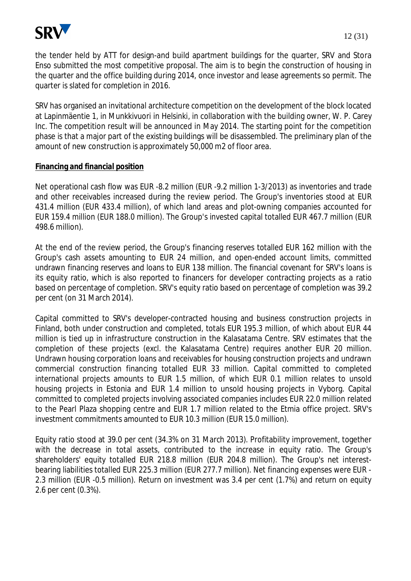

the tender held by ATT for design-and build apartment buildings for the quarter, SRV and Stora Enso submitted the most competitive proposal. The aim is to begin the construction of housing in the quarter and the office building during 2014, once investor and lease agreements so permit. The quarter is slated for completion in 2016.

SRV has organised an invitational architecture competition on the development of the block located at Lapinmäentie 1, in Munkkivuori in Helsinki, in collaboration with the building owner, W. P. Carey Inc. The competition result will be announced in May 2014. The starting point for the competition phase is that a major part of the existing buildings will be disassembled. The preliminary plan of the amount of new construction is approximately 50,000 m2 of floor area.

## **Financing and financial position**

Net operational cash flow was EUR -8.2 million (EUR -9.2 million 1-3/2013) as inventories and trade and other receivables increased during the review period. The Group's inventories stood at EUR 431.4 million (EUR 433.4 million), of which land areas and plot-owning companies accounted for EUR 159.4 million (EUR 188.0 million). The Group's invested capital totalled EUR 467.7 million (EUR 498.6 million).

At the end of the review period, the Group's financing reserves totalled EUR 162 million with the Group's cash assets amounting to EUR 24 million, and open-ended account limits, committed undrawn financing reserves and loans to EUR 138 million. The financial covenant for SRV's loans is its equity ratio, which is also reported to financers for developer contracting projects as a ratio based on percentage of completion. SRV's equity ratio based on percentage of completion was 39.2 per cent (on 31 March 2014).

Capital committed to SRV's developer-contracted housing and business construction projects in Finland, both under construction and completed, totals EUR 195.3 million, of which about EUR 44 million is tied up in infrastructure construction in the Kalasatama Centre. SRV estimates that the completion of these projects (excl. the Kalasatama Centre) requires another EUR 20 million. Undrawn housing corporation loans and receivables for housing construction projects and undrawn commercial construction financing totalled EUR 33 million. Capital committed to completed international projects amounts to EUR 1.5 million, of which EUR 0.1 million relates to unsold housing projects in Estonia and EUR 1.4 million to unsold housing projects in Vyborg. Capital committed to completed projects involving associated companies includes EUR 22.0 million related to the Pearl Plaza shopping centre and EUR 1.7 million related to the Etmia office project. SRV's investment commitments amounted to EUR 10.3 million (EUR 15.0 million).

Equity ratio stood at 39.0 per cent (34.3% on 31 March 2013). Profitability improvement, together with the decrease in total assets, contributed to the increase in equity ratio. The Group's shareholders' equity totalled EUR 218.8 million (EUR 204.8 million). The Group's net interestbearing liabilities totalled EUR 225.3 million (EUR 277.7 million). Net financing expenses were EUR - 2.3 million (EUR -0.5 million). Return on investment was 3.4 per cent (1.7%) and return on equity 2.6 per cent (0.3%).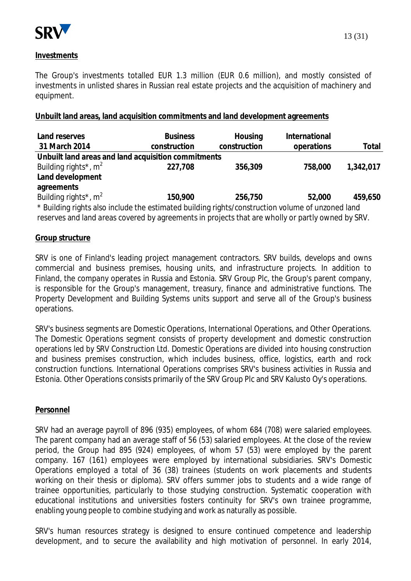

## **Investments**

The Group's investments totalled EUR 1.3 million (EUR 0.6 million), and mostly consisted of investments in unlisted shares in Russian real estate projects and the acquisition of machinery and equipment.

## **Unbuilt land areas, land acquisition commitments and land development agreements**

| Land reserves                                                                                     | <b>Business</b> | Housing      | International |           |  |  |  |
|---------------------------------------------------------------------------------------------------|-----------------|--------------|---------------|-----------|--|--|--|
| 31 March 2014                                                                                     | construction    | construction | operations    | Total     |  |  |  |
| Unbuilt land areas and land acquisition commitments                                               |                 |              |               |           |  |  |  |
| Building rights <sup>*</sup> , $m^2$                                                              | 227,708         | 356,309      | 758,000       | 1,342,017 |  |  |  |
| Land development                                                                                  |                 |              |               |           |  |  |  |
| agreements                                                                                        |                 |              |               |           |  |  |  |
| Building rights <sup>*</sup> , $m^2$                                                              | 150,900         | 256,750      | 52,000        | 459,650   |  |  |  |
| * Building rights also include the estimated building rights/construction volume of unzoned land  |                 |              |               |           |  |  |  |
| reserves and land areas covered by agreements in projects that are wholly or partly owned by SRV. |                 |              |               |           |  |  |  |

#### **Group structure**

SRV is one of Finland's leading project management contractors. SRV builds, develops and owns commercial and business premises, housing units, and infrastructure projects. In addition to Finland, the company operates in Russia and Estonia. SRV Group Plc, the Group's parent company, is responsible for the Group's management, treasury, finance and administrative functions. The Property Development and Building Systems units support and serve all of the Group's business operations.

SRV's business segments are Domestic Operations, International Operations, and Other Operations. The Domestic Operations segment consists of property development and domestic construction operations led by SRV Construction Ltd. Domestic Operations are divided into housing construction and business premises construction, which includes business, office, logistics, earth and rock construction functions. International Operations comprises SRV's business activities in Russia and Estonia. Other Operations consists primarily of the SRV Group Plc and SRV Kalusto Oy's operations.

#### **Personnel**

SRV had an average payroll of 896 (935) employees, of whom 684 (708) were salaried employees. The parent company had an average staff of 56 (53) salaried employees. At the close of the review period, the Group had 895 (924) employees, of whom 57 (53) were employed by the parent company. 167 (161) employees were employed by international subsidiaries. SRV's Domestic Operations employed a total of 36 (38) trainees (students on work placements and students working on their thesis or diploma). SRV offers summer jobs to students and a wide range of trainee opportunities, particularly to those studying construction. Systematic cooperation with educational institutions and universities fosters continuity for SRV's own trainee programme, enabling young people to combine studying and work as naturally as possible.

SRV's human resources strategy is designed to ensure continued competence and leadership development, and to secure the availability and high motivation of personnel. In early 2014,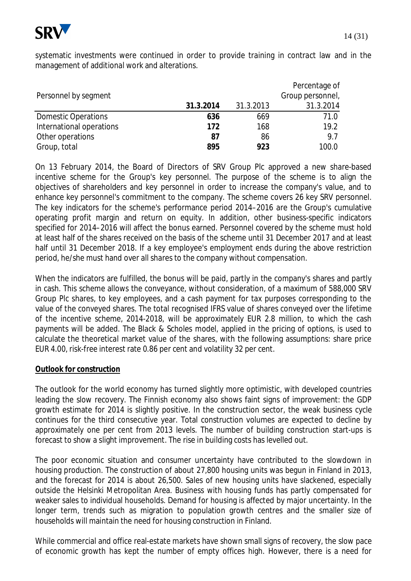

|                            |           |           | Percentage of    |
|----------------------------|-----------|-----------|------------------|
| Personnel by segment       |           |           | Group personnel, |
|                            | 31.3.2014 | 31.3.2013 | 31.3.2014        |
| <b>Domestic Operations</b> | 636       | 669       | 71.0             |
| International operations   | 172       | 168       | 19.2             |
| Other operations           | 87        | 86        | 9.7              |
| Group, total               | 895       | 923       | 100.0            |

On 13 February 2014, the Board of Directors of SRV Group Plc approved a new share-based incentive scheme for the Group's key personnel. The purpose of the scheme is to align the objectives of shareholders and key personnel in order to increase the company's value, and to enhance key personnel's commitment to the company. The scheme covers 26 key SRV personnel. The key indicators for the scheme's performance period 2014–2016 are the Group's cumulative operating profit margin and return on equity. In addition, other business-specific indicators specified for 2014–2016 will affect the bonus earned. Personnel covered by the scheme must hold at least half of the shares received on the basis of the scheme until 31 December 2017 and at least half until 31 December 2018. If a key employee's employment ends during the above restriction period, he/she must hand over all shares to the company without compensation.

When the indicators are fulfilled, the bonus will be paid, partly in the company's shares and partly in cash. This scheme allows the conveyance, without consideration, of a maximum of 588,000 SRV Group Plc shares, to key employees, and a cash payment for tax purposes corresponding to the value of the conveyed shares. The total recognised IFRS value of shares conveyed over the lifetime of the incentive scheme, 2014-2018, will be approximately EUR 2.8 million, to which the cash payments will be added. The Black & Scholes model, applied in the pricing of options, is used to calculate the theoretical market value of the shares, with the following assumptions: share price EUR 4.00, risk-free interest rate 0.86 per cent and volatility 32 per cent.

#### **Outlook for construction**

The outlook for the world economy has turned slightly more optimistic, with developed countries leading the slow recovery. The Finnish economy also shows faint signs of improvement: the GDP growth estimate for 2014 is slightly positive. In the construction sector, the weak business cycle continues for the third consecutive year. Total construction volumes are expected to decline by approximately one per cent from 2013 levels. The number of building construction start-ups is forecast to show a slight improvement. The rise in building costs has levelled out.

The poor economic situation and consumer uncertainty have contributed to the slowdown in housing production. The construction of about 27,800 housing units was begun in Finland in 2013, and the forecast for 2014 is about 26,500. Sales of new housing units have slackened, especially outside the Helsinki Metropolitan Area. Business with housing funds has partly compensated for weaker sales to individual households. Demand for housing is affected by major uncertainty. In the longer term, trends such as migration to population growth centres and the smaller size of households will maintain the need for housing construction in Finland.

While commercial and office real-estate markets have shown small signs of recovery, the slow pace of economic growth has kept the number of empty offices high. However, there is a need for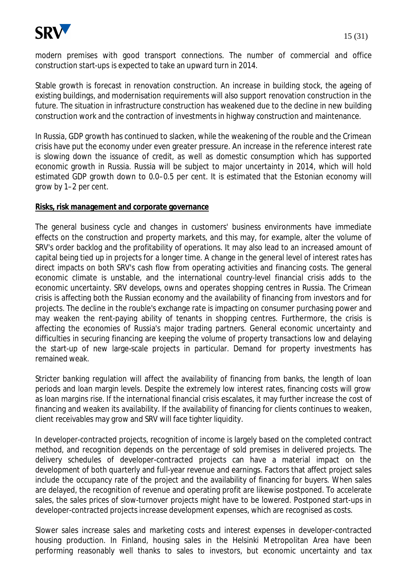

modern premises with good transport connections. The number of commercial and office construction start-ups is expected to take an upward turn in 2014.

Stable growth is forecast in renovation construction. An increase in building stock, the ageing of existing buildings, and modernisation requirements will also support renovation construction in the future. The situation in infrastructure construction has weakened due to the decline in new building construction work and the contraction of investments in highway construction and maintenance.

In Russia, GDP growth has continued to slacken, while the weakening of the rouble and the Crimean crisis have put the economy under even greater pressure. An increase in the reference interest rate is slowing down the issuance of credit, as well as domestic consumption which has supported economic growth in Russia. Russia will be subject to major uncertainty in 2014, which will hold estimated GDP growth down to 0.0–0.5 per cent. It is estimated that the Estonian economy will grow by 1–2 per cent.

#### **Risks, risk management and corporate governance**

The general business cycle and changes in customers' business environments have immediate effects on the construction and property markets, and this may, for example, alter the volume of SRV's order backlog and the profitability of operations. It may also lead to an increased amount of capital being tied up in projects for a longer time. A change in the general level of interest rates has direct impacts on both SRV's cash flow from operating activities and financing costs. The general economic climate is unstable, and the international country-level financial crisis adds to the economic uncertainty. SRV develops, owns and operates shopping centres in Russia. The Crimean crisis is affecting both the Russian economy and the availability of financing from investors and for projects. The decline in the rouble's exchange rate is impacting on consumer purchasing power and may weaken the rent-paying ability of tenants in shopping centres. Furthermore, the crisis is affecting the economies of Russia's major trading partners. General economic uncertainty and difficulties in securing financing are keeping the volume of property transactions low and delaying the start-up of new large-scale projects in particular. Demand for property investments has remained weak.

Stricter banking regulation will affect the availability of financing from banks, the length of loan periods and loan margin levels. Despite the extremely low interest rates, financing costs will grow as loan margins rise. If the international financial crisis escalates, it may further increase the cost of financing and weaken its availability. If the availability of financing for clients continues to weaken, client receivables may grow and SRV will face tighter liquidity.

In developer-contracted projects, recognition of income is largely based on the completed contract method, and recognition depends on the percentage of sold premises in delivered projects. The delivery schedules of developer-contracted projects can have a material impact on the development of both quarterly and full-year revenue and earnings. Factors that affect project sales include the occupancy rate of the project and the availability of financing for buyers. When sales are delayed, the recognition of revenue and operating profit are likewise postponed. To accelerate sales, the sales prices of slow-turnover projects might have to be lowered. Postponed start-ups in developer-contracted projects increase development expenses, which are recognised as costs.

Slower sales increase sales and marketing costs and interest expenses in developer-contracted housing production. In Finland, housing sales in the Helsinki Metropolitan Area have been performing reasonably well thanks to sales to investors, but economic uncertainty and tax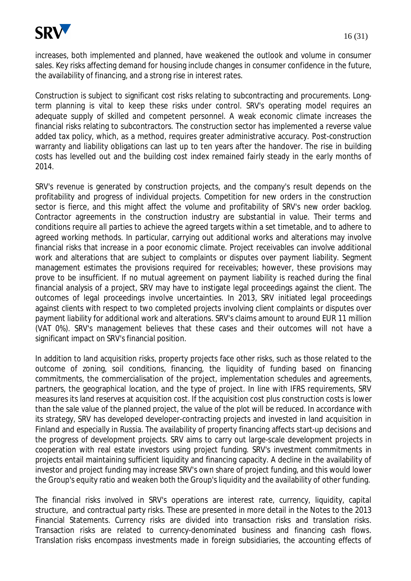

increases, both implemented and planned, have weakened the outlook and volume in consumer sales. Key risks affecting demand for housing include changes in consumer confidence in the future, the availability of financing, and a strong rise in interest rates.

Construction is subject to significant cost risks relating to subcontracting and procurements. Longterm planning is vital to keep these risks under control. SRV's operating model requires an adequate supply of skilled and competent personnel. A weak economic climate increases the financial risks relating to subcontractors. The construction sector has implemented a reverse value added tax policy, which, as a method, requires greater administrative accuracy. Post-construction warranty and liability obligations can last up to ten years after the handover. The rise in building costs has levelled out and the building cost index remained fairly steady in the early months of 2014.

SRV's revenue is generated by construction projects, and the company's result depends on the profitability and progress of individual projects. Competition for new orders in the construction sector is fierce, and this might affect the volume and profitability of SRV's new order backlog. Contractor agreements in the construction industry are substantial in value. Their terms and conditions require all parties to achieve the agreed targets within a set timetable, and to adhere to agreed working methods. In particular, carrying out additional works and alterations may involve financial risks that increase in a poor economic climate. Project receivables can involve additional work and alterations that are subject to complaints or disputes over payment liability. Segment management estimates the provisions required for receivables; however, these provisions may prove to be insufficient. If no mutual agreement on payment liability is reached during the final financial analysis of a project, SRV may have to instigate legal proceedings against the client. The outcomes of legal proceedings involve uncertainties. In 2013, SRV initiated legal proceedings against clients with respect to two completed projects involving client complaints or disputes over payment liability for additional work and alterations. SRV's claims amount to around EUR 11 million (VAT 0%). SRV's management believes that these cases and their outcomes will not have a significant impact on SRV's financial position.

In addition to land acquisition risks, property projects face other risks, such as those related to the outcome of zoning, soil conditions, financing, the liquidity of funding based on financing commitments, the commercialisation of the project, implementation schedules and agreements, partners, the geographical location, and the type of project. In line with IFRS requirements, SRV measures its land reserves at acquisition cost. If the acquisition cost plus construction costs is lower than the sale value of the planned project, the value of the plot will be reduced. In accordance with its strategy, SRV has developed developer-contracting projects and invested in land acquisition in Finland and especially in Russia. The availability of property financing affects start-up decisions and the progress of development projects. SRV aims to carry out large-scale development projects in cooperation with real estate investors using project funding. SRV's investment commitments in projects entail maintaining sufficient liquidity and financing capacity. A decline in the availability of investor and project funding may increase SRV's own share of project funding, and this would lower the Group's equity ratio and weaken both the Group's liquidity and the availability of other funding.

The financial risks involved in SRV's operations are interest rate, currency, liquidity, capital structure, and contractual party risks. These are presented in more detail in the Notes to the 2013 Financial Statements. Currency risks are divided into transaction risks and translation risks. Transaction risks are related to currency-denominated business and financing cash flows. Translation risks encompass investments made in foreign subsidiaries, the accounting effects of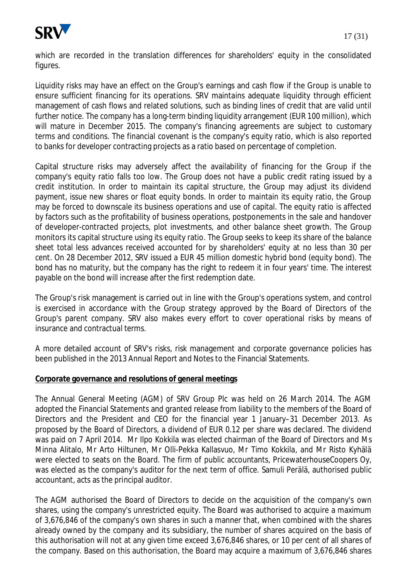

which are recorded in the translation differences for shareholders' equity in the consolidated figures.

Liquidity risks may have an effect on the Group's earnings and cash flow if the Group is unable to ensure sufficient financing for its operations. SRV maintains adequate liquidity through efficient management of cash flows and related solutions, such as binding lines of credit that are valid until further notice. The company has a long-term binding liquidity arrangement (EUR 100 million), which will mature in December 2015. The company's financing agreements are subject to customary terms and conditions. The financial covenant is the company's equity ratio, which is also reported to banks for developer contracting projects as a ratio based on percentage of completion.

Capital structure risks may adversely affect the availability of financing for the Group if the company's equity ratio falls too low. The Group does not have a public credit rating issued by a credit institution. In order to maintain its capital structure, the Group may adjust its dividend payment, issue new shares or float equity bonds. In order to maintain its equity ratio, the Group may be forced to downscale its business operations and use of capital. The equity ratio is affected by factors such as the profitability of business operations, postponements in the sale and handover of developer-contracted projects, plot investments, and other balance sheet growth. The Group monitors its capital structure using its equity ratio. The Group seeks to keep its share of the balance sheet total less advances received accounted for by shareholders' equity at no less than 30 per cent. On 28 December 2012, SRV issued a EUR 45 million domestic hybrid bond (equity bond). The bond has no maturity, but the company has the right to redeem it in four years' time. The interest payable on the bond will increase after the first redemption date.

The Group's risk management is carried out in line with the Group's operations system, and control is exercised in accordance with the Group strategy approved by the Board of Directors of the Group's parent company. SRV also makes every effort to cover operational risks by means of insurance and contractual terms.

A more detailed account of SRV's risks, risk management and corporate governance policies has been published in the 2013 Annual Report and Notes to the Financial Statements.

#### **Corporate governance and resolutions of general meetings**

The Annual General Meeting (AGM) of SRV Group Plc was held on 26 March 2014. The AGM adopted the Financial Statements and granted release from liability to the members of the Board of Directors and the President and CEO for the financial year 1 January–31 December 2013. As proposed by the Board of Directors, a dividend of EUR 0.12 per share was declared. The dividend was paid on 7 April 2014. Mr Ilpo Kokkila was elected chairman of the Board of Directors and Ms Minna Alitalo, Mr Arto Hiltunen, Mr Olli-Pekka Kallasvuo, Mr Timo Kokkila, and Mr Risto Kyhälä were elected to seats on the Board. The firm of public accountants, PricewaterhouseCoopers Oy, was elected as the company's auditor for the next term of office. Samuli Perälä, authorised public accountant, acts as the principal auditor.

The AGM authorised the Board of Directors to decide on the acquisition of the company's own shares, using the company's unrestricted equity. The Board was authorised to acquire a maximum of 3,676,846 of the company's own shares in such a manner that, when combined with the shares already owned by the company and its subsidiary, the number of shares acquired on the basis of this authorisation will not at any given time exceed 3,676,846 shares, or 10 per cent of all shares of the company. Based on this authorisation, the Board may acquire a maximum of 3,676,846 shares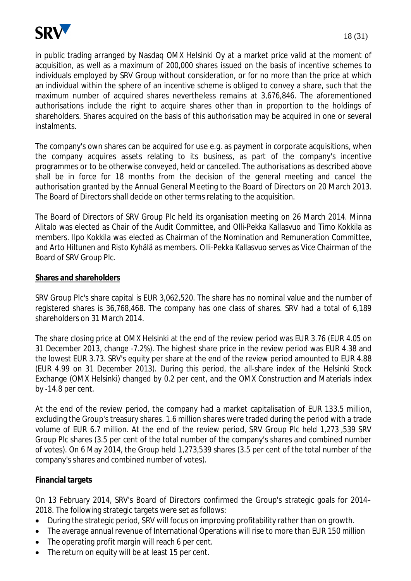

in public trading arranged by Nasdaq OMX Helsinki Oy at a market price valid at the moment of acquisition, as well as a maximum of 200,000 shares issued on the basis of incentive schemes to individuals employed by SRV Group without consideration, or for no more than the price at which an individual within the sphere of an incentive scheme is obliged to convey a share, such that the maximum number of acquired shares nevertheless remains at 3,676,846. The aforementioned authorisations include the right to acquire shares other than in proportion to the holdings of shareholders. Shares acquired on the basis of this authorisation may be acquired in one or several instalments.

The company's own shares can be acquired for use e.g. as payment in corporate acquisitions, when the company acquires assets relating to its business, as part of the company's incentive programmes or to be otherwise conveyed, held or cancelled. The authorisations as described above shall be in force for 18 months from the decision of the general meeting and cancel the authorisation granted by the Annual General Meeting to the Board of Directors on 20 March 2013. The Board of Directors shall decide on other terms relating to the acquisition.

The Board of Directors of SRV Group Plc held its organisation meeting on 26 March 2014. Minna Alitalo was elected as Chair of the Audit Committee, and Olli-Pekka Kallasvuo and Timo Kokkila as members. Ilpo Kokkila was elected as Chairman of the Nomination and Remuneration Committee, and Arto Hiltunen and Risto Kyhälä as members. Olli-Pekka Kallasvuo serves as Vice Chairman of the Board of SRV Group Plc.

## **Shares and shareholders**

SRV Group Plc's share capital is EUR 3,062,520. The share has no nominal value and the number of registered shares is 36,768,468. The company has one class of shares. SRV had a total of 6,189 shareholders on 31 March 2014.

The share closing price at OMX Helsinki at the end of the review period was EUR 3.76 (EUR 4.05 on 31 December 2013, change -7.2%). The highest share price in the review period was EUR 4.38 and the lowest EUR 3.73. SRV's equity per share at the end of the review period amounted to EUR 4.88 (EUR 4.99 on 31 December 2013). During this period, the all-share index of the Helsinki Stock Exchange (OMX Helsinki) changed by 0.2 per cent, and the OMX Construction and Materials index by -14.8 per cent.

At the end of the review period, the company had a market capitalisation of EUR 133.5 million, excluding the Group's treasury shares. 1.6 million shares were traded during the period with a trade volume of EUR 6.7 million. At the end of the review period, SRV Group Plc held 1,273 ,539 SRV Group Plc shares (3.5 per cent of the total number of the company's shares and combined number of votes). On 6 May 2014, the Group held 1,273,539 shares (3.5 per cent of the total number of the company's shares and combined number of votes).

## **Financial targets**

On 13 February 2014, SRV's Board of Directors confirmed the Group's strategic goals for 2014– 2018. The following strategic targets were set as follows:

- During the strategic period, SRV will focus on improving profitability rather than on growth.
- The average annual revenue of International Operations will rise to more than EUR 150 million
- The operating profit margin will reach 6 per cent.
- $\bullet$  The return on equity will be at least 15 per cent.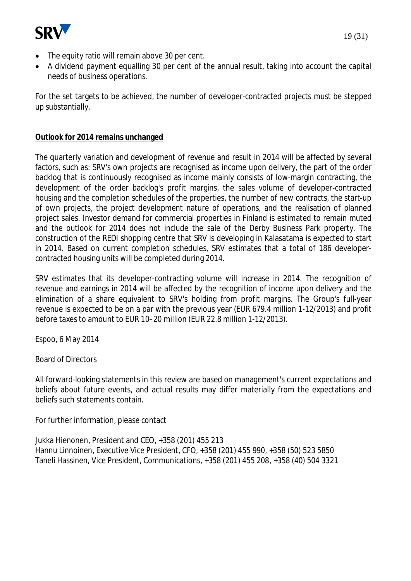

- The equity ratio will remain above 30 per cent.
- A dividend payment equalling 30 per cent of the annual result, taking into account the capital needs of business operations.

For the set targets to be achieved, the number of developer-contracted projects must be stepped up substantially.

## **Outlook for 2014 remains unchanged**

The quarterly variation and development of revenue and result in 2014 will be affected by several factors, such as: SRV's own projects are recognised as income upon delivery, the part of the order backlog that is continuously recognised as income mainly consists of low-margin contracting, the development of the order backlog's profit margins, the sales volume of developer-contracted housing and the completion schedules of the properties, the number of new contracts, the start-up of own projects, the project development nature of operations, and the realisation of planned project sales. Investor demand for commercial properties in Finland is estimated to remain muted and the outlook for 2014 does not include the sale of the Derby Business Park property. The construction of the REDI shopping centre that SRV is developing in Kalasatama is expected to start in 2014. Based on current completion schedules, SRV estimates that a total of 186 developercontracted housing units will be completed during 2014.

SRV estimates that its developer-contracting volume will increase in 2014. The recognition of revenue and earnings in 2014 will be affected by the recognition of income upon delivery and the elimination of a share equivalent to SRV's holding from profit margins. The Group's full-year revenue is expected to be on a par with the previous year (EUR 679.4 million 1-12/2013) and profit before taxes to amount to EUR 10–20 million (EUR 22.8 million 1-12/2013).

Espoo, 6 May 2014

Board of Directors

All forward-looking statements in this review are based on management's current expectations and beliefs about future events, and actual results may differ materially from the expectations and beliefs such statements contain.

For further information, please contact

Jukka Hienonen, President and CEO, +358 (201) 455 213 Hannu Linnoinen, Executive Vice President, CFO, +358 (201) 455 990, +358 (50) 523 5850 Taneli Hassinen, Vice President, Communications, +358 (201) 455 208, +358 (40) 504 3321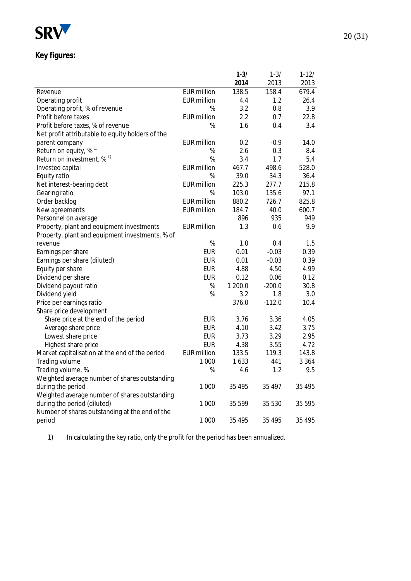

# **Key figures:**

|                                                  |                    | $1 - 3/$ | $1 - 3/$ | $1 - 12/$ |
|--------------------------------------------------|--------------------|----------|----------|-----------|
|                                                  |                    | 2014     | 2013     | 2013      |
| Revenue                                          | <b>EUR</b> million | 138.5    | 158.4    | 679.4     |
| Operating profit                                 | <b>EUR</b> million | 4.4      | 1.2      | 26.4      |
| Operating profit, % of revenue                   | %                  | 3.2      | 0.8      | 3.9       |
| Profit before taxes                              | EUR million        | 2.2      | 0.7      | 22.8      |
| Profit before taxes, % of revenue                | %                  | 1.6      | 0.4      | 3.4       |
| Net profit attributable to equity holders of the |                    |          |          |           |
| parent company                                   | <b>EUR</b> million | 0.2      | $-0.9$   | 14.0      |
| Return on equity, % <sup>1)</sup>                | %                  | 2.6      | 0.3      | 8.4       |
| Return on investment, $\%$ <sup>1)</sup>         | %                  | 3.4      | 1.7      | 5.4       |
| Invested capital                                 | EUR million        | 467.7    | 498.6    | 528.0     |
| Equity ratio                                     | %                  | 39.0     | 34.3     | 36.4      |
| Net interest-bearing debt                        | <b>EUR</b> million | 225.3    | 277.7    | 215.8     |
| Gearing ratio                                    | %                  | 103.0    | 135.6    | 97.1      |
| Order backlog                                    | EUR million        | 880.2    | 726.7    | 825.8     |
| New agreements                                   | <b>EUR</b> million | 184.7    | 40.0     | 600.7     |
| Personnel on average                             |                    | 896      | 935      | 949       |
| Property, plant and equipment investments        | <b>EUR</b> million | 1.3      | 0.6      | 9.9       |
| Property, plant and equipment investments, % of  |                    |          |          |           |
| revenue                                          | $\%$               | 1.0      | 0.4      | 1.5       |
| Earnings per share                               | <b>EUR</b>         | 0.01     | $-0.03$  | 0.39      |
| Earnings per share (diluted)                     | <b>EUR</b>         | 0.01     | $-0.03$  | 0.39      |
| Equity per share                                 | <b>EUR</b>         | 4.88     | 4.50     | 4.99      |
| Dividend per share                               | <b>EUR</b>         | 0.12     | 0.06     | 0.12      |
| Dividend payout ratio                            | %                  | 1 200.0  | $-200.0$ | 30.8      |
| Dividend yield                                   | %                  | 3.2      | 1.8      | 3.0       |
| Price per earnings ratio                         |                    | 376.0    | $-112.0$ | 10.4      |
| Share price development                          |                    |          |          |           |
| Share price at the end of the period             | <b>EUR</b>         | 3.76     | 3.36     | 4.05      |
| Average share price                              | <b>EUR</b>         | 4.10     | 3.42     | 3.75      |
| Lowest share price                               | <b>EUR</b>         | 3.73     | 3.29     | 2.95      |
| Highest share price                              | <b>EUR</b>         | 4.38     | 3.55     | 4.72      |
| Market capitalisation at the end of the period   | <b>EUR million</b> | 133.5    | 119.3    | 143.8     |
| Trading volume                                   | 1 0 0 0            | 1633     | 441      | 3 3 6 4   |
| Trading volume, %                                | %                  | 4.6      | 1.2      | 9.5       |
| Weighted average number of shares outstanding    |                    |          |          |           |
| during the period                                | 1 0 0 0            | 35 4 95  | 35 497   | 35 4 95   |
| Weighted average number of shares outstanding    |                    |          |          |           |
| during the period (diluted)                      | 1 0 0 0            | 35 599   | 35 530   | 35 5 95   |
| Number of shares outstanding at the end of the   |                    |          |          |           |
| period                                           | 1 000              | 35 4 95  | 35 4 95  | 35 4 95   |
|                                                  |                    |          |          |           |

1) In calculating the key ratio, only the profit for the period has been annualized.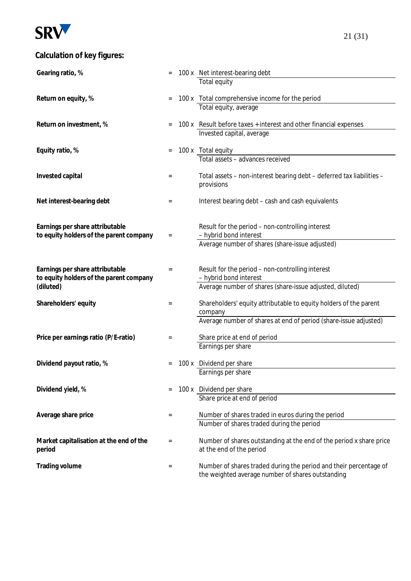

# **Calculation of key figures:**

| Gearing ratio, %                                                           |                 | 100 x Net interest-bearing debt                                                                                        |
|----------------------------------------------------------------------------|-----------------|------------------------------------------------------------------------------------------------------------------------|
|                                                                            |                 | Total equity                                                                                                           |
| Return on equity, %                                                        | $=$             | 100 x Total comprehensive income for the period                                                                        |
|                                                                            |                 | Total equity, average                                                                                                  |
| Return on investment, %                                                    | $=$             | 100 x Result before taxes + interest and other financial expenses                                                      |
|                                                                            |                 | Invested capital, average                                                                                              |
| Equity ratio, %                                                            | $=$             | 100 x Total equity                                                                                                     |
|                                                                            |                 | Total assets - advances received                                                                                       |
| Invested capital                                                           | $=$             | Total assets - non-interest bearing debt - deferred tax liabilities -<br>provisions                                    |
|                                                                            |                 |                                                                                                                        |
| Net interest-bearing debt                                                  | $=$             | Interest bearing debt - cash and cash equivalents                                                                      |
| Earnings per share attributable                                            |                 | Result for the period - non-controlling interest                                                                       |
| to equity holders of the parent company                                    | $\quad \  \  =$ | - hybrid bond interest                                                                                                 |
|                                                                            |                 | Average number of shares (share-issue adjusted)                                                                        |
|                                                                            |                 |                                                                                                                        |
| Earnings per share attributable<br>to equity holders of the parent company | $=$             | Result for the period - non-controlling interest<br>- hybrid bond interest                                             |
| (diluted)                                                                  |                 | Average number of shares (share-issue adjusted, diluted)                                                               |
| Shareholders' equity                                                       | $=$             | Shareholders' equity attributable to equity holders of the parent                                                      |
|                                                                            |                 | company                                                                                                                |
|                                                                            |                 | Average number of shares at end of period (share-issue adjusted)                                                       |
| Price per earnings ratio (P/E-ratio)                                       | $=$             | Share price at end of period                                                                                           |
|                                                                            |                 | Earnings per share                                                                                                     |
| Dividend payout ratio, %                                                   |                 | 100 x Dividend per share                                                                                               |
|                                                                            |                 | Earnings per share                                                                                                     |
| Dividend yield, %                                                          | $=$             | 100 x Dividend per share                                                                                               |
|                                                                            |                 | Share price at end of period                                                                                           |
| Average share price                                                        | $=$             | Number of shares traded in euros during the period                                                                     |
|                                                                            |                 | Number of shares traded during the period                                                                              |
| Market capitalisation at the end of the<br>period                          | $=$             | Number of shares outstanding at the end of the period x share price<br>at the end of the period                        |
| Trading volume                                                             | $=$             | Number of shares traded during the period and their percentage of<br>the weighted average number of shares outstanding |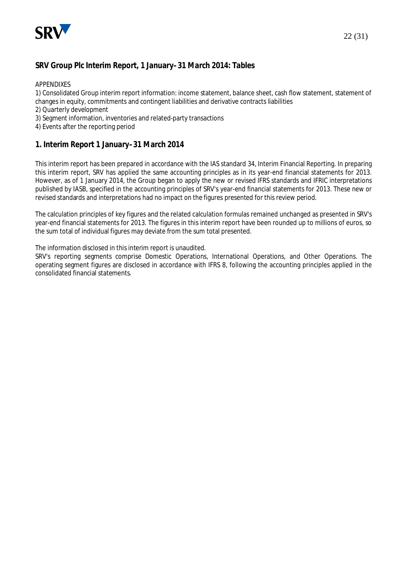

## **SRV Group Plc Interim Report, 1 January–31 March 2014: Tables**

APPENDIXES

1) Consolidated Group interim report information: income statement, balance sheet, cash flow statement, statement of changes in equity, commitments and contingent liabilities and derivative contracts liabilities

- 2) Quarterly development
- 3) Segment information, inventories and related-party transactions
- 4) Events after the reporting period

#### **1. Interim Report 1 January–31 March 2014**

This interim report has been prepared in accordance with the IAS standard 34, Interim Financial Reporting. In preparing this interim report, SRV has applied the same accounting principles as in its year-end financial statements for 2013. However, as of 1 January 2014, the Group began to apply the new or revised IFRS standards and IFRIC interpretations published by IASB, specified in the accounting principles of SRV's year-end financial statements for 2013. These new or revised standards and interpretations had no impact on the figures presented for this review period.

The calculation principles of key figures and the related calculation formulas remained unchanged as presented in SRV's year-end financial statements for 2013. The figures in this interim report have been rounded up to millions of euros, so the sum total of individual figures may deviate from the sum total presented.

The information disclosed in this interim report is unaudited.

SRV's reporting segments comprise Domestic Operations, International Operations, and Other Operations. The operating segment figures are disclosed in accordance with IFRS 8, following the accounting principles applied in the consolidated financial statements.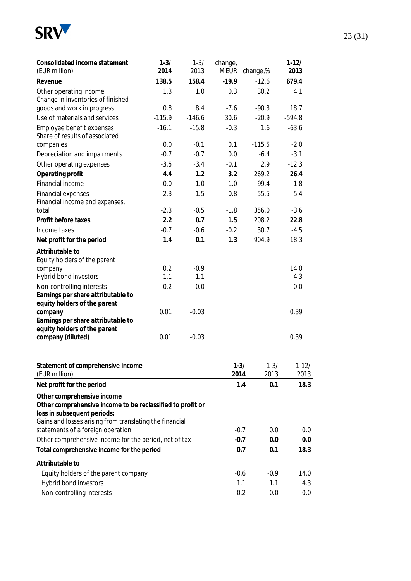

| Consolidated income statement<br>(EUR million)                     | $1 - 3/$<br>2014 | $1 - 3/$<br>2013 | change,<br><b>MEUR</b> | change,% | $1-12/$<br>2013 |
|--------------------------------------------------------------------|------------------|------------------|------------------------|----------|-----------------|
| Revenue                                                            | 138.5            | 158.4            | $-19.9$                | $-12.6$  | 679.4           |
| Other operating income                                             | 1.3              | 1.0              | 0.3                    | 30.2     | 4.1             |
| Change in inventories of finished                                  |                  |                  |                        |          |                 |
| goods and work in progress                                         | 0.8              | 8.4              | $-7.6$                 | $-90.3$  | 18.7            |
| Use of materials and services                                      | $-115.9$         | $-146.6$         | 30.6                   | $-20.9$  | $-594.8$        |
| Employee benefit expenses                                          | $-16.1$          | $-15.8$          | $-0.3$                 | 1.6      | $-63.6$         |
| Share of results of associated                                     |                  |                  |                        |          |                 |
| companies                                                          | 0.0              | $-0.1$           | 0.1                    | $-115.5$ | $-2.0$          |
| Depreciation and impairments                                       | $-0.7$           | $-0.7$           | 0.0                    | $-6.4$   | $-3.1$          |
| Other operating expenses                                           | $-3.5$           | $-3.4$           | $-0.1$                 | 2.9      | $-12.3$         |
| Operating profit                                                   | 4.4              | 1.2              | 3.2                    | 269.2    | 26.4            |
| Financial income                                                   | 0.0              | 1.0              | $-1.0$                 | $-99.4$  | 1.8             |
| <b>Financial expenses</b>                                          | $-2.3$           | $-1.5$           | $-0.8$                 | 55.5     | $-5.4$          |
| Financial income and expenses,                                     |                  |                  |                        |          |                 |
| total                                                              | $-2.3$           | $-0.5$           | $-1.8$                 | 356.0    | $-3.6$          |
| Profit before taxes                                                | 2.2              | 0.7              | 1.5                    | 208.2    | 22.8            |
| Income taxes                                                       | $-0.7$           | $-0.6$           | $-0.2$                 | 30.7     | $-4.5$          |
| Net profit for the period                                          | 1.4              | 0.1              | 1.3                    | 904.9    | 18.3            |
| Attributable to                                                    |                  |                  |                        |          |                 |
| Equity holders of the parent                                       |                  |                  |                        |          |                 |
| company                                                            | 0.2              | $-0.9$           |                        |          | 14.0            |
| Hybrid bond investors                                              | 1.1              | 1.1              |                        |          | 4.3             |
| Non-controlling interests                                          | 0.2              | 0.0              |                        |          | 0.0             |
| Earnings per share attributable to                                 |                  |                  |                        |          |                 |
| equity holders of the parent                                       |                  |                  |                        |          |                 |
| company                                                            | 0.01             | $-0.03$          |                        |          | 0.39            |
| Earnings per share attributable to<br>equity holders of the parent |                  |                  |                        |          |                 |
| company (diluted)                                                  | 0.01             | $-0.03$          |                        |          | 0.39            |
|                                                                    |                  |                  |                        |          |                 |
| Statement of comprehensive income                                  |                  |                  | $1 - 3/$               | $1 - 3/$ | $1-12/$         |
| (EUR million)                                                      |                  |                  | 2014                   | 2013     | 2013            |
| Net profit for the period                                          |                  |                  | 1.4                    | 0.1      | 18.3            |
| Other comprehensive income                                         |                  |                  |                        |          |                 |
| Other comprehensive income to be reclassified to profit or         |                  |                  |                        |          |                 |
| loss in subsequent periods:                                        |                  |                  |                        |          |                 |
| Gains and losses arising from translating the financial            |                  |                  |                        |          |                 |
| statements of a foreign operation                                  | $-0.7$           | 0.0              | 0.0                    |          |                 |
| Other comprehensive income for the period, net of tax              | $-0.7$           | 0.0              | 0.0                    |          |                 |
| Total comprehensive income for the period                          | 0.7              | 0.1              | 18.3                   |          |                 |
| Attributable to                                                    |                  |                  |                        |          |                 |
| Equity holders of the parent company                               |                  |                  | $-0.6$                 | $-0.9$   | 14.0            |
| Hybrid bond investors                                              |                  |                  | 1.1                    | 1.1      | 4.3             |
| Non-controlling interests                                          |                  |                  | 0.2                    | 0.0      | 0.0             |
|                                                                    |                  |                  |                        |          |                 |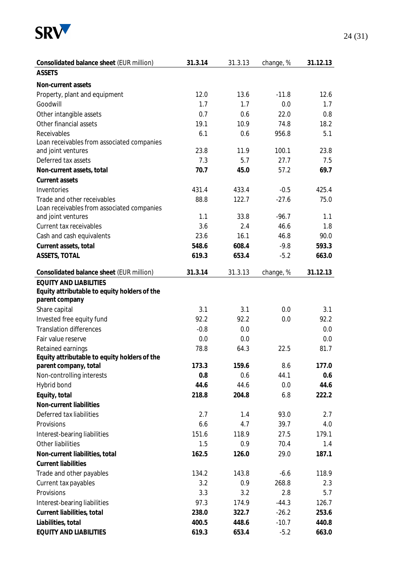

| Consolidated balance sheet (EUR million)                                                        | 31.3.14 | 31.3.13 | change, % | 31.12.13 |
|-------------------------------------------------------------------------------------------------|---------|---------|-----------|----------|
| <b>ASSETS</b>                                                                                   |         |         |           |          |
| Non-current assets                                                                              |         |         |           |          |
| Property, plant and equipment                                                                   | 12.0    | 13.6    | $-11.8$   | 12.6     |
| Goodwill                                                                                        | 1.7     | 1.7     | 0.0       | 1.7      |
| Other intangible assets                                                                         | 0.7     | 0.6     | 22.0      | 0.8      |
| Other financial assets                                                                          | 19.1    | 10.9    | 74.8      | 18.2     |
| Receivables                                                                                     | 6.1     | 0.6     | 956.8     | 5.1      |
| Loan receivables from associated companies                                                      |         |         |           |          |
| and joint ventures                                                                              | 23.8    | 11.9    | 100.1     | 23.8     |
| Deferred tax assets                                                                             | 7.3     | 5.7     | 27.7      | 7.5      |
| Non-current assets, total                                                                       | 70.7    | 45.0    | 57.2      | 69.7     |
| Current assets                                                                                  |         |         |           |          |
| Inventories                                                                                     | 431.4   | 433.4   | $-0.5$    | 425.4    |
| Trade and other receivables                                                                     | 88.8    | 122.7   | $-27.6$   | 75.0     |
| Loan receivables from associated companies                                                      |         |         |           |          |
| and joint ventures                                                                              | 1.1     | 33.8    | $-96.7$   | 1.1      |
| Current tax receivables                                                                         | 3.6     | 2.4     | 46.6      | 1.8      |
| Cash and cash equivalents                                                                       | 23.6    | 16.1    | 46.8      | 90.0     |
| Current assets, total                                                                           | 548.6   | 608.4   | $-9.8$    | 593.3    |
| ASSETS, TOTAL                                                                                   | 619.3   | 653.4   | $-5.2$    | 663.0    |
| Consolidated balance sheet (EUR million)                                                        | 31.3.14 | 31.3.13 | change, % | 31.12.13 |
| <b>EQUITY AND LIABILITIES</b><br>Equity attributable to equity holders of the<br>parent company |         |         |           |          |
| Share capital                                                                                   | 3.1     | 3.1     | 0.0       | 3.1      |
| Invested free equity fund                                                                       | 92.2    | 92.2    | 0.0       | 92.2     |
| <b>Translation differences</b>                                                                  | $-0.8$  | 0.0     |           | 0.0      |
| Fair value reserve                                                                              | 0.0     | 0.0     |           | 0.0      |
| Retained earnings                                                                               | 78.8    | 64.3    | 22.5      | 81.7     |
| Equity attributable to equity holders of the                                                    |         |         |           |          |
| parent company, total                                                                           | 173.3   | 159.6   | 8.6       | 177.0    |
| Non-controlling interests                                                                       | 0.8     | 0.6     | 44.1      | 0.6      |
| Hybrid bond                                                                                     | 44.6    | 44.6    | 0.0       | 44.6     |
| Equity, total                                                                                   | 218.8   | 204.8   | 6.8       | 222.2    |
| Non-current liabilities                                                                         |         |         |           |          |
| Deferred tax liabilities                                                                        | 2.7     | 1.4     | 93.0      | 2.7      |
| Provisions                                                                                      | 6.6     | 4.7     | 39.7      | 4.0      |
| Interest-bearing liabilities                                                                    | 151.6   | 118.9   | 27.5      | 179.1    |
| Other liabilities                                                                               | 1.5     | 0.9     | 70.4      | 1.4      |
| Non-current liabilities, total                                                                  | 162.5   | 126.0   | 29.0      | 187.1    |
| <b>Current liabilities</b>                                                                      |         |         |           |          |
| Trade and other payables                                                                        | 134.2   | 143.8   | $-6.6$    | 118.9    |
| Current tax payables                                                                            | 3.2     | 0.9     | 268.8     | 2.3      |
| Provisions                                                                                      | 3.3     | 3.2     | 2.8       | 5.7      |
| Interest-bearing liabilities                                                                    | 97.3    | 174.9   | $-44.3$   | 126.7    |
| Current liabilities, total                                                                      | 238.0   | 322.7   | $-26.2$   | 253.6    |
| Liabilities, total                                                                              | 400.5   | 448.6   | $-10.7$   | 440.8    |
| EQUITY AND LIABILITIES                                                                          | 619.3   | 653.4   | $-5.2$    | 663.0    |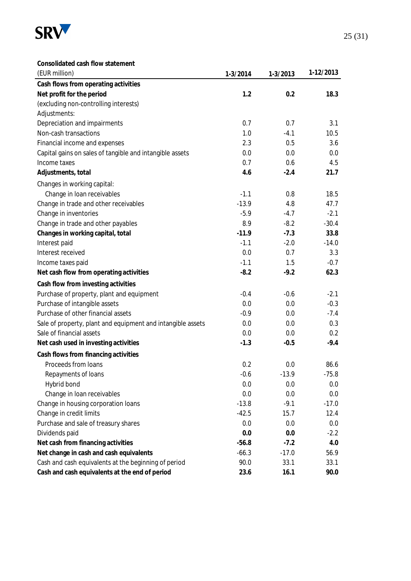

#### **Consolidated cash flow statement**

| (EUR million)                                               | $1-3/2014$ | 1-3/2013 | 1-12/2013 |
|-------------------------------------------------------------|------------|----------|-----------|
| Cash flows from operating activities                        |            |          |           |
| Net profit for the period                                   | 1.2        | 0.2      | 18.3      |
| (excluding non-controlling interests)                       |            |          |           |
| Adjustments:                                                |            |          |           |
| Depreciation and impairments                                | 0.7        | 0.7      | 3.1       |
| Non-cash transactions                                       | 1.0        | $-4.1$   | 10.5      |
| Financial income and expenses                               | 2.3        | 0.5      | 3.6       |
| Capital gains on sales of tangible and intangible assets    | 0.0        | 0.0      | 0.0       |
| Income taxes                                                | 0.7        | 0.6      | 4.5       |
| Adjustments, total                                          | 4.6        | $-2.4$   | 21.7      |
| Changes in working capital:                                 |            |          |           |
| Change in loan receivables                                  | $-1.1$     | 0.8      | 18.5      |
| Change in trade and other receivables                       | $-13.9$    | 4.8      | 47.7      |
| Change in inventories                                       | $-5.9$     | $-4.7$   | $-2.1$    |
| Change in trade and other payables                          | 8.9        | $-8.2$   | $-30.4$   |
| Changes in working capital, total                           | $-11.9$    | $-7.3$   | 33.8      |
| Interest paid                                               | $-1.1$     | $-2.0$   | $-14.0$   |
| Interest received                                           | 0.0        | 0.7      | 3.3       |
| Income taxes paid                                           | $-1.1$     | 1.5      | $-0.7$    |
| Net cash flow from operating activities                     | $-8.2$     | $-9.2$   | 62.3      |
| Cash flow from investing activities                         |            |          |           |
| Purchase of property, plant and equipment                   | $-0.4$     | $-0.6$   | $-2.1$    |
| Purchase of intangible assets                               | 0.0        | 0.0      | $-0.3$    |
| Purchase of other financial assets                          | $-0.9$     | 0.0      | $-7.4$    |
| Sale of property, plant and equipment and intangible assets | 0.0        | 0.0      | 0.3       |
| Sale of financial assets                                    | 0.0        | 0.0      | 0.2       |
| Net cash used in investing activities                       | $-1.3$     | $-0.5$   | $-9.4$    |
| Cash flows from financing activities                        |            |          |           |
| Proceeds from loans                                         | 0.2        | 0.0      | 86.6      |
| Repayments of loans                                         | $-0.6$     | $-13.9$  | $-75.8$   |
| Hybrid bond                                                 | 0.0        | 0.0      | 0.0       |
| Change in loan receivables                                  | 0.0        | 0.0      | 0.0       |
| Change in housing corporation loans                         | $-13.8$    | $-9.1$   | $-17.0$   |
| Change in credit limits                                     | $-42.5$    | 15.7     | 12.4      |
| Purchase and sale of treasury shares                        | 0.0        | 0.0      | 0.0       |
| Dividends paid                                              | 0.0        | 0.0      | $-2.2$    |
| Net cash from financing activities                          | $-56.8$    | $-7.2$   | 4.0       |
| Net change in cash and cash equivalents                     | $-66.3$    | $-17.0$  | 56.9      |
| Cash and cash equivalents at the beginning of period        | 90.0       | 33.1     | 33.1      |
| Cash and cash equivalents at the end of period              | 23.6       | 16.1     | 90.0      |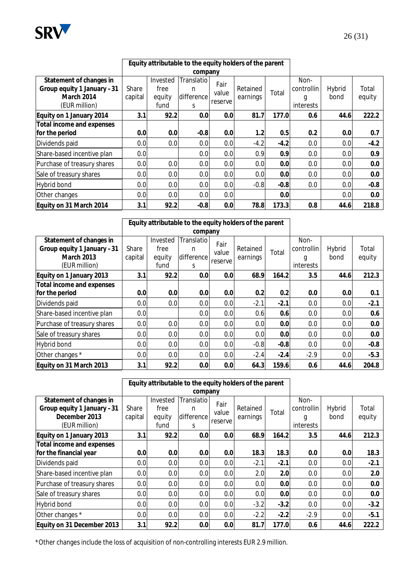

|                             |         | Equity attributable to the equity holders of the parent |                  |                   |          |        |           |            |        |       |
|-----------------------------|---------|---------------------------------------------------------|------------------|-------------------|----------|--------|-----------|------------|--------|-------|
|                             |         |                                                         | company          |                   |          |        |           |            |        |       |
| Statement of changes in     |         | Invested                                                | Translatio       | Fair              |          |        | Non-      |            |        |       |
| Group equity 1 January -31  | Share   | free                                                    | n                | Retained<br>value |          |        | Total     | controllin | Hybrid | Total |
| March 2014                  | capital | equity                                                  | difference       | reserve           | earnings |        | g         | bond       | equity |       |
| (EUR million)               |         | fund                                                    | S.               |                   |          |        | interests |            |        |       |
| Equity on 1 January 2014    | 3.1     | 92.2                                                    | 0.0              | 0.0               | 81.7     | 177.0  | 0.6       | 44.6       | 222.2  |       |
| Total income and expenses   |         |                                                         |                  |                   |          |        |           |            |        |       |
| for the period              | 0.0     | 0.0                                                     | $-0.8$           | 0.0               | 1.2      | 0.5    | 0.2       | 0.0        | 0.7    |       |
| Dividends paid              | 0.0     | 0.0                                                     | 0.0              | 0.0               | $-4.2$   | $-4.2$ | 0.0       | 0.0        | $-4.2$ |       |
| Share-based incentive plan  | 0.0     |                                                         | 0.0              | 0.0               | 0.9      | 0.9    | 0.0       | 0.0        | 0.9    |       |
| Purchase of treasury shares | 0.0     | 0.0                                                     | 0.0              | 0.0               | 0.0      | 0.0    | 0.0       | 0.0        | 0.0    |       |
| Sale of treasury shares     | 0.0     | 0.0                                                     | 0.01             | 0.0               | 0.0      | 0.0    | 0.0       | 0.0        | 0.0    |       |
| <b>Hybrid bond</b>          | 0.0     | 0.0                                                     | 0.0 <sub>l</sub> | 0.0               | $-0.8$   | $-0.8$ | 0.0       | 0.0        | $-0.8$ |       |
| Other changes               | 0.0     | 0.0                                                     | 0.0              | 0.0               |          | 0.0    |           | 0.0        | 0.0    |       |
| Equity on 31 March 2014     | 3.1     | 92.2                                                    | $-0.8$           | 0.0               | 78.8     | 173.3  | 0.8       | 44.6       | 218.8  |       |

|                                                                            | Equity attributable to the equity holders of the parent |                            |                               |                          |                      |        |                         |                |                 |
|----------------------------------------------------------------------------|---------------------------------------------------------|----------------------------|-------------------------------|--------------------------|----------------------|--------|-------------------------|----------------|-----------------|
|                                                                            |                                                         |                            | company                       |                          |                      |        |                         |                |                 |
| Statement of changes in<br>Group equity 1 January -31<br><b>March 2013</b> | Share<br>capital                                        | Invested<br>free<br>equity | Translatio<br>n<br>difference | Fair<br>value<br>reserve | Retained<br>earnings | Total  | Non-<br>controllin<br>g | Hybrid<br>bond | Total<br>equity |
| (EUR million)                                                              |                                                         | fund                       | S                             |                          |                      |        | interests               |                |                 |
| Equity on 1 January 2013                                                   | 3.1                                                     | 92.2                       | 0.0                           | 0.0                      | 68.9                 | 164.2  | 3.5                     | 44.6           | 212.3           |
| Total income and expenses<br>for the period                                | 0.0                                                     | 0.0                        | 0.0                           | 0.0 <sub>l</sub>         | 0.2                  | 0.2    | 0.0                     | 0.01           | 0.1             |
| Dividends paid                                                             | 0.0                                                     | 0.0                        | 0.0                           | 0.0                      | $-2.1$               | $-2.1$ | 0.0                     | 0.0            | $-2.1$          |
| Share-based incentive plan                                                 | 0.0                                                     |                            | 0.0                           | 0.0                      | 0.6                  | 0.6    | 0.0                     | 0.0            | 0.6             |
| Purchase of treasury shares                                                | 0.0                                                     | 0.0                        | 0.0                           | 0.0                      | 0.0                  | 0.0    | 0.0                     | 0.01           | 0.0             |
| Sale of treasury shares                                                    | 0.0                                                     | 0.0                        | 0.0                           | 0.0                      | 0.0                  | 0.0    | 0.0                     | 0.01           | 0.0             |
| <b>Hybrid bond</b>                                                         | 0.0                                                     | 0.0                        | 0.0                           | 0.0                      | $-0.8$               | $-0.8$ | 0.0                     | 0.0            | $-0.8$          |
| Other changes *                                                            | 0.0                                                     | 0.0                        | 0.0                           | 0.0                      | $-2.4$               | $-2.4$ | $-2.9$                  | 0.01           | $-5.3$          |
| Equity on 31 March 2013                                                    | 3.1                                                     | 92.2                       | 0.0                           | 0.0                      | 64.3                 | 159.6  | 0.6                     | 44.6           | 204.8           |

|                                                                                         | Equity attributable to the equity holders of the parent<br>company |                                    |                                     |                          |                      |        |                                      |                  |                 |
|-----------------------------------------------------------------------------------------|--------------------------------------------------------------------|------------------------------------|-------------------------------------|--------------------------|----------------------|--------|--------------------------------------|------------------|-----------------|
| Statement of changes in<br>Group equity 1 January -31<br>December 2013<br>(EUR million) | Share<br>capital                                                   | Invested<br>free<br>equity<br>fund | Translatio<br>n<br>difference<br>S. | Fair<br>value<br>reserve | Retained<br>earnings | Total  | Non-<br>controllin<br>g<br>interests | Hybrid<br>bond   | Total<br>equity |
| Equity on 1 January 2013                                                                | 3.1                                                                | 92.2                               | 0.0                                 | 0.0                      | 68.9                 | 164.2  | 3.5                                  | 44.6             | 212.3           |
| Total income and expenses<br>for the financial year                                     | 0.0                                                                | 0.0                                | 0.0 <sub>l</sub>                    | 0.0                      | 18.3                 | 18.3   | 0.0                                  | 0.0 <sub>l</sub> | 18.3            |
| Dividends paid                                                                          | 0.0                                                                | 0.0                                | 0.0                                 | 0.0                      | $-2.1$               | $-2.1$ | 0.0                                  | 0.0              | $-2.1$          |
| Share-based incentive plan                                                              | 0.0                                                                | 0.0                                | 0.0                                 | 0.0                      | 2.0                  | 2.0    | 0.0                                  | 0.0              | 2.0             |
| Purchase of treasury shares                                                             | 0.0                                                                | 0.0                                | 0.0                                 | 0.0                      | 0.0                  | 0.0    | 0.0                                  | 0.0              | 0.0             |
| Sale of treasury shares                                                                 | 0.0                                                                | 0.0                                | 0.0                                 | 0.0                      | 0.0                  | 0.0    | 0.0                                  | 0.0              | 0.0             |
| <b>Hybrid bond</b>                                                                      | 0.0                                                                | 0.0                                | 0.0 <sub>l</sub>                    | 0.0                      | $-3.2$               | $-3.2$ | 0.0                                  | 0.0              | $-3.2$          |
| Other changes *                                                                         | 0.0                                                                | 0.0                                | 0.0                                 | 0.0                      | $-2.2$               | $-2.2$ | $-2.9$                               | 0.0 <sub>l</sub> | $-5.1$          |
| Equity on 31 December 2013                                                              | 3.1                                                                | 92.2                               | 0.01                                | 0.0                      | 81.7                 | 177.0  | 0.6                                  | 44.6             | 222.2           |

\*Other changes include the loss of acquisition of non-controlling interests EUR 2.9 million.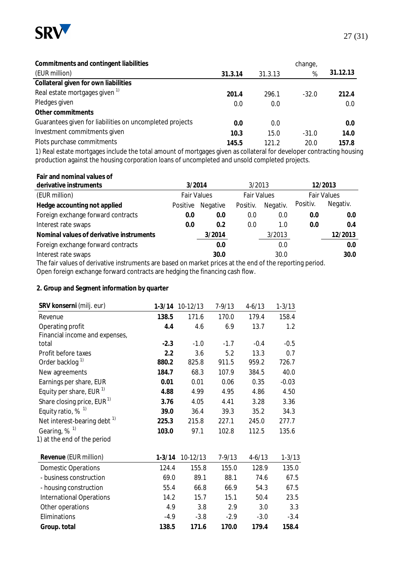

| Commitments and contingent liabilities                   |         |         | change, |          |
|----------------------------------------------------------|---------|---------|---------|----------|
| (EUR million)                                            | 31.3.14 | 31.3.13 | %       | 31.12.13 |
| Collateral given for own liabilities                     |         |         |         |          |
| Real estate mortgages given <sup>1)</sup>                | 201.4   | 296.1   | $-32.0$ | 212.4    |
| Pledges given                                            | 0.0     | 0.0     |         | 0.0      |
| Other commitments                                        |         |         |         |          |
| Guarantees given for liabilities on uncompleted projects | 0.0     | 0.0     |         | 0.0      |
| Investment commitments given                             | 10.3    | 15.0    | $-31.0$ | 14.0     |
| Plots purchase commitments                               | 145.5   | 121.2   | 20.0    | 157.8    |

1) Real estate mortgages include the total amount of mortgages given as collateral for developer contracting housing production against the housing corporation loans of uncompleted and unsold completed projects.

**Fair and nominal values of** 

| derivative instruments                                                                                  | 3/2014             |          | 3/2013             |          |                    | 12/2013  |
|---------------------------------------------------------------------------------------------------------|--------------------|----------|--------------------|----------|--------------------|----------|
| (EUR million)                                                                                           | <b>Fair Values</b> |          | <b>Fair Values</b> |          | <b>Fair Values</b> |          |
| Hedge accounting not applied                                                                            | Positive           | Negative | Positiv.           | Negativ. | Positiv.           | Negativ. |
| Foreign exchange forward contracts                                                                      | 0.0                | 0.0      | 0.0                | 0.0      | 0.0                | 0.0      |
| Interest rate swaps                                                                                     | 0.0                | 0.2      | 0.0                | 1.0      | 0.0                | 0.4      |
| Nominal values of derivative instruments                                                                |                    | 3/2014   |                    | 3/2013   |                    | 12/2013  |
| Foreign exchange forward contracts                                                                      |                    | 0.0      |                    | 0.0      |                    | 0.0      |
| Interest rate swaps                                                                                     | 30.0               |          | 30.0               |          |                    | 30.0     |
| The fair values of derivative instruments are based on market prices at the end of the reporting period |                    |          |                    |          |                    |          |

The fair values of derivative instruments are based on market prices at the end of the reporting period. Open foreign exchange forward contracts are hedging the financing cash flow.

**2. Group and Segment information by quarter** 

| SRV konserni (milj. eur)                | $1 - 3/14$ | 10-12/13 | $7 - 9/13$ | $4 - 6/13$ | $1 - 3/13$ |
|-----------------------------------------|------------|----------|------------|------------|------------|
| Revenue                                 | 138.5      | 171.6    | 170.0      | 179.4      | 158.4      |
| Operating profit                        | 4.4        | 4.6      | 6.9        | 13.7       | 1.2        |
| Financial income and expenses,          |            |          |            |            |            |
| total                                   | $-2.3$     | $-1.0$   | $-1.7$     | $-0.4$     | $-0.5$     |
| Profit before taxes                     | 2.2        | 3.6      | 5.2        | 13.3       | 0.7        |
| Order backlog <sup>1)</sup>             | 880.2      | 825.8    | 911.5      | 959.2      | 726.7      |
| New agreements                          | 184.7      | 68.3     | 107.9      | 384.5      | 40.0       |
| Earnings per share, EUR                 | 0.01       | 0.01     | 0.06       | 0.35       | $-0.03$    |
| Equity per share, EUR <sup>1)</sup>     | 4.88       | 4.99     | 4.95       | 4.86       | 4.50       |
| Share closing price, EUR <sup>1)</sup>  | 3.76       | 4.05     | 4.41       | 3.28       | 3.36       |
| Equity ratio, $%$ <sup>1)</sup>         | 39.0       | 36.4     | 39.3       | 35.2       | 34.3       |
| Net interest-bearing debt <sup>1)</sup> | 225.3      | 215.8    | 227.1      | 245.0      | 277.7      |
| Gearing, % <sup>1)</sup>                | 103.0      | 97.1     | 102.8      | 112.5      | 135.6      |
| 1) at the end of the period             |            |          |            |            |            |
| Revenue (EUR million)                   | $1 - 3/14$ | 10-12/13 | $7 - 9/13$ | $4-6/13$   | $1 - 3/13$ |
| <b>Domestic Operations</b>              | 124.4      | 155.8    | 155.0      | 128.9      | 135.0      |
| - business construction                 | 69.0       | 89.1     | 88.1       | 74.6       | 67.5       |
| - housing construction                  | 55.4       | 66.8     | 66.9       | 54.3       | 67.5       |
| <b>International Operations</b>         | 14.2       | 15.7     | 15.1       | 50.4       | 23.5       |
| Other operations                        | 4.9        | 3.8      | 2.9        | 3.0        | 3.3        |
| Eliminations                            | $-4.9$     | $-3.8$   | $-2.9$     | $-3.0$     | $-3.4$     |
| Group. total                            | 138.5      | 171.6    | 170.0      | 179.4      | 158.4      |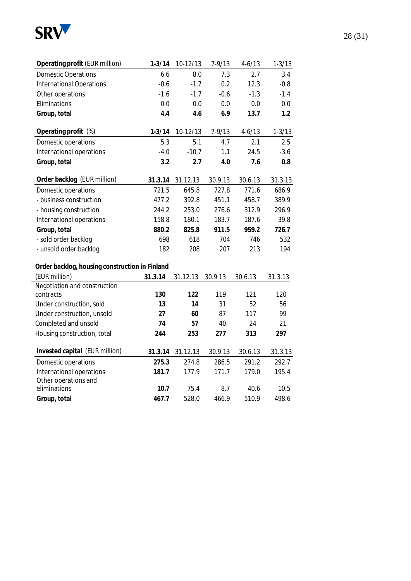

| Operating profit (EUR million)                 | $1 - 3/14$ | 10-12/13 | $7 - 9/13$ | $4 - 6/13$ | $1 - 3/13$ |
|------------------------------------------------|------------|----------|------------|------------|------------|
| <b>Domestic Operations</b>                     | 6.6        | 8.0      | 7.3        | 2.7        | 3.4        |
| <b>International Operations</b>                | $-0.6$     | $-1.7$   | 0.2        | 12.3       | $-0.8$     |
| Other operations                               | $-1.6$     | $-1.7$   | $-0.6$     | $-1.3$     | $-1.4$     |
| Eliminations                                   | 0.0        | 0.0      | 0.0        | 0.0        | 0.0        |
| Group, total                                   | 4.4        | 4.6      | 6.9        | 13.7       | 1.2        |
| Operating profit (%)                           | $1 - 3/14$ | 10-12/13 | $7 - 9/13$ | $4 - 6/13$ | $1 - 3/13$ |
| Domestic operations                            | 5.3        | 5.1      | 4.7        | 2.1        | 2.5        |
| International operations                       | $-4.0$     | $-10.7$  | 1.1        | 24.5       | $-3.6$     |
| Group, total                                   | 3.2        | 2.7      | 4.0        | 7.6        | 0.8        |
| Order backlog (EUR million)                    | 31.3.14    | 31.12.13 | 30.9.13    | 30.6.13    | 31.3.13    |
| Domestic operations                            | 721.5      | 645.8    | 727.8      | 771.6      | 686.9      |
| - business construction                        | 477.2      | 392.8    | 451.1      | 458.7      | 389.9      |
| - housing construction                         | 244.2      | 253.0    | 276.6      | 312.9      | 296.9      |
| International operations                       | 158.8      | 180.1    | 183.7      | 187.6      | 39.8       |
| Group, total                                   | 880.2      | 825.8    | 911.5      | 959.2      | 726.7      |
| - sold order backlog                           | 698        | 618      | 704        | 746        | 532        |
| - unsold order backlog                         | 182        | 208      | 207        | 213        | 194        |
| Order backlog, housing construction in Finland |            |          |            |            |            |
| (EUR million)                                  | 31.3.14    | 31.12.13 | 30.9.13    | 30.6.13    | 31.3.13    |
| Negotiation and construction                   |            |          |            |            |            |
| contracts                                      | 130        | 122      | 119        | 121        | 120        |
| Under construction, sold                       | 13         | 14       | 31         | 52         | 56         |
| Under construction, unsold                     | 27         | 60       | 87         | 117        | 99         |
| Completed and unsold                           | 74         | 57       | 40         | 24         | 21         |
| Housing construction, total                    | 244        | 253      | 277        | 313        | 297        |
| Invested capital (EUR million)                 | 31.3.14    | 31.12.13 | 30.9.13    | 30.6.13    | 31.3.13    |
| Domestic operations                            | 275.3      | 274.8    | 286.5      | 291.2      | 292.7      |
| International operations                       | 181.7      | 177.9    | 171.7      | 179.0      | 195.4      |
| Other operations and<br>eliminations           | 10.7       | 75.4     | 8.7        | 40.6       | 10.5       |
| Group, total                                   | 467.7      | 528.0    | 466.9      | 510.9      | 498.6      |
|                                                |            |          |            |            |            |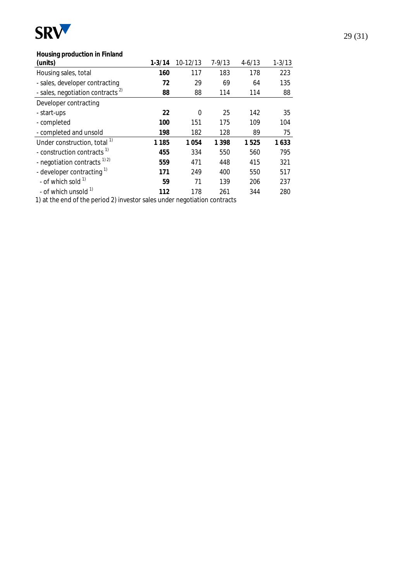

## **Housing production in Finland**

| (units)                                      | $1 - 3/14$ | 10-12/13 | $7 - 9/13$ | $4 - 6/13$ | $1 - 3/13$ |
|----------------------------------------------|------------|----------|------------|------------|------------|
| Housing sales, total                         | 160        | 117      | 183        | 178        | 223        |
| - sales, developer contracting               | 72         | 29       | 69         | 64         | 135        |
| - sales, negotiation contracts <sup>2)</sup> | 88         | 88       | 114        | 114        | 88         |
| Developer contracting                        |            |          |            |            |            |
| - start-ups                                  | 22         | 0        | 25         | 142        | 35         |
| - completed                                  | 100        | 151      | 175        | 109        | 104        |
| - completed and unsold                       | 198        | 182      | 128        | 89         | 75         |
| Under construction, total <sup>1)</sup>      | 1 1 8 5    | 1054     | 1 3 9 8    | 1525       | 1633       |
| - construction contracts <sup>1)</sup>       | 455        | 334      | 550        | 560        | 795        |
| - negotiation contracts <sup>1) 2)</sup>     | 559        | 471      | 448        | 415        | 321        |
| - developer contracting <sup>1)</sup>        | 171        | 249      | 400        | 550        | 517        |
| - of which sold $1$                          | 59         | 71       | 139        | 206        | 237        |
| - of which unsold <sup>1)</sup>              | 112        | 178      | 261        | 344        | 280        |
|                                              |            |          |            |            |            |

1) at the end of the period 2) investor sales under negotiation contracts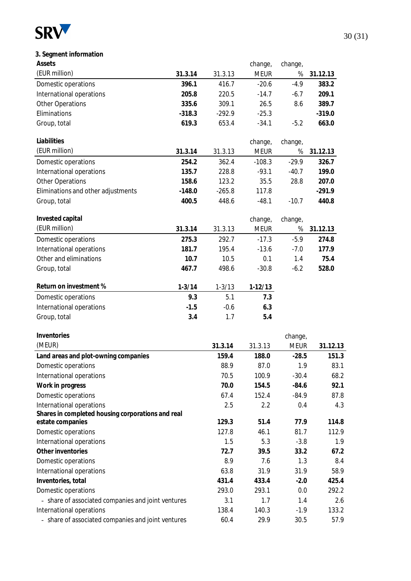

| Assets                             |            |            | change,     | change, |          |
|------------------------------------|------------|------------|-------------|---------|----------|
| (EUR million)                      | 31.3.14    | 31.3.13    | <b>MEUR</b> | %       | 31.12.13 |
| Domestic operations                | 396.1      | 416.7      | $-20.6$     | $-4.9$  | 383.2    |
| International operations           | 205.8      | 220.5      | $-14.7$     | $-6.7$  | 209.1    |
| <b>Other Operations</b>            | 335.6      | 309.1      | 26.5        | 8.6     | 389.7    |
| Eliminations                       | $-318.3$   | $-292.9$   | $-25.3$     |         | $-319.0$ |
| Group, total                       | 619.3      | 653.4      | $-34.1$     | $-5.2$  | 663.0    |
| Liabilities                        |            |            | change,     | change, |          |
| (EUR million)                      | 31.3.14    | 31.3.13    | <b>MEUR</b> | %       | 31.12.13 |
| Domestic operations                | 254.2      | 362.4      | $-108.3$    | $-29.9$ | 326.7    |
| International operations           | 135.7      | 228.8      | $-93.1$     | $-40.7$ | 199.0    |
| <b>Other Operations</b>            | 158.6      | 123.2      | 35.5        | 28.8    | 207.0    |
| Eliminations and other adjustments | $-148.0$   | $-265.8$   | 117.8       |         | $-291.9$ |
| Group, total                       | 400.5      | 448.6      | $-48.1$     | $-10.7$ | 440.8    |
| Invested capital                   |            |            | change,     | change, |          |
| (EUR million)                      | 31.3.14    | 31.3.13    | <b>MEUR</b> | %       | 31.12.13 |
| Domestic operations                | 275.3      | 292.7      | $-17.3$     | $-5.9$  | 274.8    |
| International operations           | 181.7      | 195.4      | $-13.6$     | $-7.0$  | 177.9    |
| Other and eliminations             | 10.7       | 10.5       | 0.1         | 1.4     | 75.4     |
| Group, total                       | 467.7      | 498.6      | $-30.8$     | $-6.2$  | 528.0    |
| Return on investment %             | $1 - 3/14$ | $1 - 3/13$ | $1-12/13$   |         |          |
| Domestic operations                | 9.3        | 5.1        | 7.3         |         |          |
| International operations           | $-1.5$     | $-0.6$     | 6.3         |         |          |
| Group, total                       | 3.4        | 1.7        | 5.4         |         |          |

| Inventories                                        |         |         | change,     |          |
|----------------------------------------------------|---------|---------|-------------|----------|
| (MEUR)                                             | 31.3.14 | 31.3.13 | <b>MEUR</b> | 31.12.13 |
| Land areas and plot-owning companies               | 159.4   | 188.0   | $-28.5$     | 151.3    |
| Domestic operations                                | 88.9    | 87.0    | 1.9         | 83.1     |
| International operations                           | 70.5    | 100.9   | $-30.4$     | 68.2     |
| Work in progress                                   | 70.0    | 154.5   | $-84.6$     | 92.1     |
| Domestic operations                                | 67.4    | 152.4   | $-84.9$     | 87.8     |
| International operations                           | 2.5     | 2.2     | 0.4         | 4.3      |
| Shares in completed housing corporations and real  |         |         |             |          |
| estate companies                                   | 129.3   | 51.4    | 77.9        | 114.8    |
| Domestic operations                                | 127.8   | 46.1    | 81.7        | 112.9    |
| International operations                           | 1.5     | 5.3     | $-3.8$      | 1.9      |
| Other inventories                                  | 72.7    | 39.5    | 33.2        | 67.2     |
| Domestic operations                                | 8.9     | 7.6     | 1.3         | 8.4      |
| International operations                           | 63.8    | 31.9    | 31.9        | 58.9     |
| Inventories, total                                 | 431.4   | 433.4   | $-2.0$      | 425.4    |
| Domestic operations                                | 293.0   | 293.1   | 0.0         | 292.2    |
| - share of associated companies and joint ventures | 3.1     | 1.7     | 1.4         | 2.6      |
| International operations                           | 138.4   | 140.3   | $-1.9$      | 133.2    |
| - share of associated companies and joint ventures | 60.4    | 29.9    | 30.5        | 57.9     |